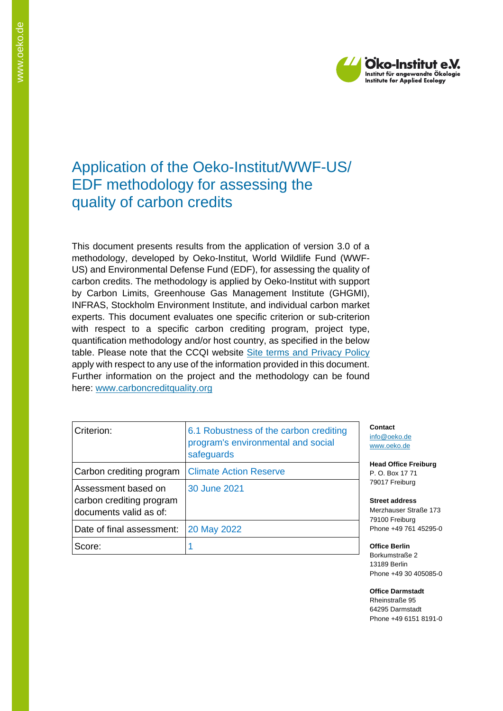

# Application of the Oeko-Institut/WWF-US/ EDF methodology for assessing the quality of carbon credits

This document presents results from the application of version 3.0 of a methodology, developed by Oeko-Institut, World Wildlife Fund (WWF-US) and Environmental Defense Fund (EDF), for assessing the quality of carbon credits. The methodology is applied by Oeko-Institut with support by Carbon Limits, Greenhouse Gas Management Institute (GHGMI), INFRAS, Stockholm Environment Institute, and individual carbon market experts. This document evaluates one specific criterion or sub-criterion with respect to a specific carbon crediting program, project type, quantification methodology and/or host country, as specified in the below table. Please note that the CCQI website [Site terms and Privacy Policy](https://carboncreditquality.org/terms.html) apply with respect to any use of the information provided in this document. Further information on the project and the methodology can be found here: [www.carboncreditquality.org](http://www.carboncreditquality.org/)

| Criterion:                                                                | 6.1 Robustness of the carbon crediting<br>program's environmental and social<br>safeguards |
|---------------------------------------------------------------------------|--------------------------------------------------------------------------------------------|
| Carbon crediting program                                                  | <b>Climate Action Reserve</b>                                                              |
| Assessment based on<br>carbon crediting program<br>documents valid as of: | 30 June 2021                                                                               |
| Date of final assessment:                                                 | 20 May 2022                                                                                |
| Score:                                                                    |                                                                                            |

**Contact** [info@oeko.de](mailto:info@oeko.de) [www.oeko.de](http://www.oeko.de/)

**Head Office Freiburg** P. O. Box 17 71 79017 Freiburg

**Street address** Merzhauser Straße 173 79100 Freiburg Phone +49 761 45295-0

**Office Berlin** Borkumstraße 2 13189 Berlin Phone +49 30 405085-0

**Office Darmstadt** Rheinstraße 95 64295 Darmstadt Phone +49 6151 8191-0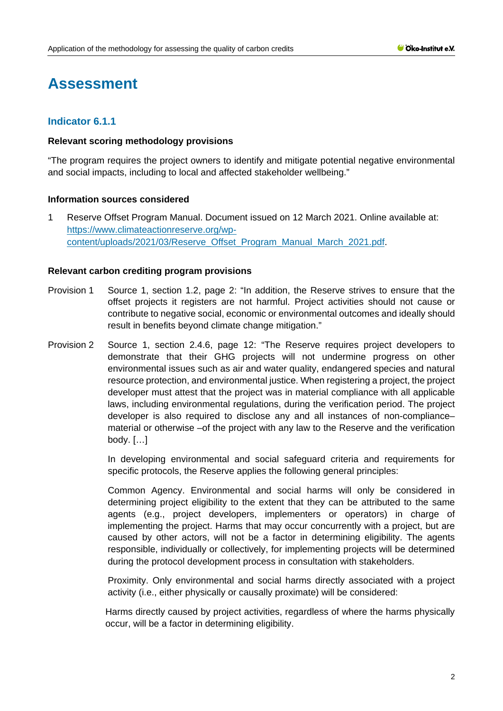# **Assessment**

# **Indicator 6.1.1**

### **Relevant scoring methodology provisions**

"The program requires the project owners to identify and mitigate potential negative environmental and social impacts, including to local and affected stakeholder wellbeing."

# **Information sources considered**

1 Reserve Offset Program Manual. Document issued on 12 March 2021. Online available at: [https://www.climateactionreserve.org/wp](https://www.climateactionreserve.org/wp-content/uploads/2021/03/Reserve_Offset_Program_Manual_March_2021.pdf)[content/uploads/2021/03/Reserve\\_Offset\\_Program\\_Manual\\_March\\_2021.pdf.](https://www.climateactionreserve.org/wp-content/uploads/2021/03/Reserve_Offset_Program_Manual_March_2021.pdf)

### **Relevant carbon crediting program provisions**

- Provision 1 Source 1, section 1.2, page 2: "In addition, the Reserve strives to ensure that the offset projects it registers are not harmful. Project activities should not cause or contribute to negative social, economic or environmental outcomes and ideally should result in benefits beyond climate change mitigation."
- Provision 2 Source 1, section 2.4.6, page 12: "The Reserve requires project developers to demonstrate that their GHG projects will not undermine progress on other environmental issues such as air and water quality, endangered species and natural resource protection, and environmental justice. When registering a project, the project developer must attest that the project was in material compliance with all applicable laws, including environmental regulations, during the verification period. The project developer is also required to disclose any and all instances of non-compliance– material or otherwise –of the project with any law to the Reserve and the verification body. […]

In developing environmental and social safeguard criteria and requirements for specific protocols, the Reserve applies the following general principles:

Common Agency. Environmental and social harms will only be considered in determining project eligibility to the extent that they can be attributed to the same agents (e.g., project developers, implementers or operators) in charge of implementing the project. Harms that may occur concurrently with a project, but are caused by other actors, will not be a factor in determining eligibility. The agents responsible, individually or collectively, for implementing projects will be determined during the protocol development process in consultation with stakeholders.

Proximity. Only environmental and social harms directly associated with a project activity (i.e., either physically or causally proximate) will be considered:

Harms directly caused by project activities, regardless of where the harms physically occur, will be a factor in determining eligibility.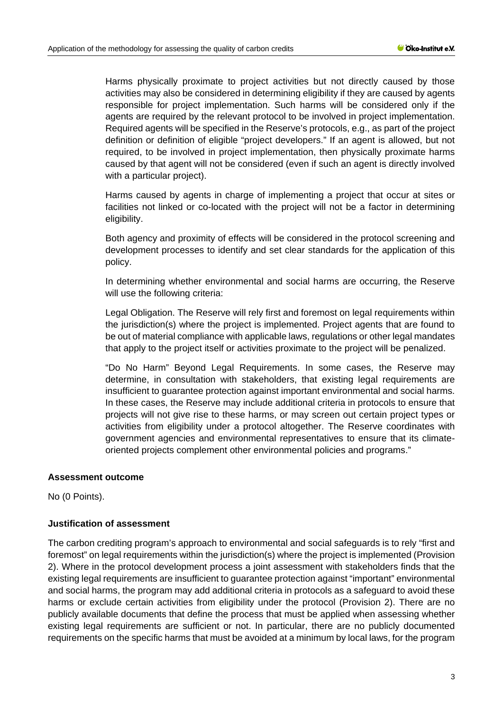Harms physically proximate to project activities but not directly caused by those activities may also be considered in determining eligibility if they are caused by agents responsible for project implementation. Such harms will be considered only if the agents are required by the relevant protocol to be involved in project implementation. Required agents will be specified in the Reserve's protocols, e.g., as part of the project definition or definition of eligible "project developers." If an agent is allowed, but not required, to be involved in project implementation, then physically proximate harms caused by that agent will not be considered (even if such an agent is directly involved with a particular project).

Harms caused by agents in charge of implementing a project that occur at sites or facilities not linked or co-located with the project will not be a factor in determining eligibility.

Both agency and proximity of effects will be considered in the protocol screening and development processes to identify and set clear standards for the application of this policy.

In determining whether environmental and social harms are occurring, the Reserve will use the following criteria:

Legal Obligation. The Reserve will rely first and foremost on legal requirements within the jurisdiction(s) where the project is implemented. Project agents that are found to be out of material compliance with applicable laws, regulations or other legal mandates that apply to the project itself or activities proximate to the project will be penalized.

"Do No Harm" Beyond Legal Requirements. In some cases, the Reserve may determine, in consultation with stakeholders, that existing legal requirements are insufficient to guarantee protection against important environmental and social harms. In these cases, the Reserve may include additional criteria in protocols to ensure that projects will not give rise to these harms, or may screen out certain project types or activities from eligibility under a protocol altogether. The Reserve coordinates with government agencies and environmental representatives to ensure that its climateoriented projects complement other environmental policies and programs."

# **Assessment outcome**

No (0 Points).

# **Justification of assessment**

The carbon crediting program's approach to environmental and social safeguards is to rely "first and foremost" on legal requirements within the jurisdiction(s) where the project is implemented (Provision 2). Where in the protocol development process a joint assessment with stakeholders finds that the existing legal requirements are insufficient to guarantee protection against "important" environmental and social harms, the program may add additional criteria in protocols as a safeguard to avoid these harms or exclude certain activities from eligibility under the protocol (Provision 2). There are no publicly available documents that define the process that must be applied when assessing whether existing legal requirements are sufficient or not. In particular, there are no publicly documented requirements on the specific harms that must be avoided at a minimum by local laws, for the program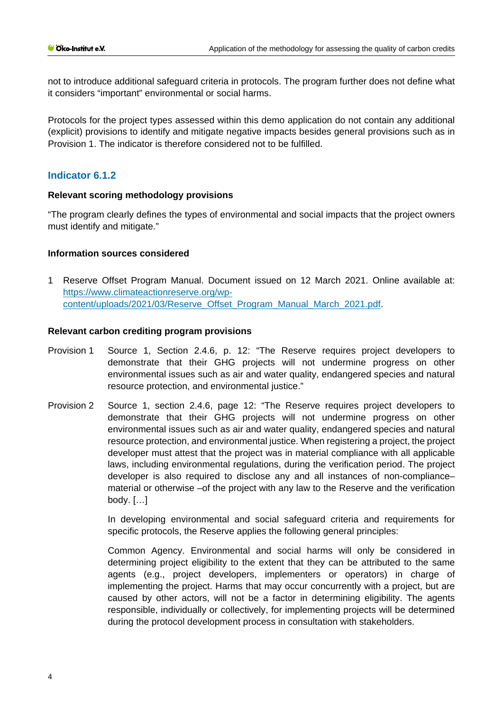not to introduce additional safeguard criteria in protocols. The program further does not define what it considers "important" environmental or social harms.

Protocols for the project types assessed within this demo application do not contain any additional (explicit) provisions to identify and mitigate negative impacts besides general provisions such as in Provision 1. The indicator is therefore considered not to be fulfilled.

# **Indicator 6.1.2**

### **Relevant scoring methodology provisions**

"The program clearly defines the types of environmental and social impacts that the project owners must identify and mitigate."

# **Information sources considered**

1 Reserve Offset Program Manual. Doc[ument issued on 12 March 2021. Online available at:](https://www.climateactionreserve.org/wp-content/uploads/2021/03/Reserve_Offset_Program_Manual_March_2021.pdf)  [https://www.climateactionreserve.org/wp](https://www.climateactionreserve.org/wp-content/uploads/2021/03/Reserve_Offset_Program_Manual_March_2021.pdf)[content/uploads/2021/03/Reserve\\_Offset\\_Program\\_Manual\\_March\\_2021.pdf.](https://www.climateactionreserve.org/wp-content/uploads/2021/03/Reserve_Offset_Program_Manual_March_2021.pdf)

### **Relevant carbon crediting program provisions**

- Provision 1 Source 1, Section 2.4.6, p. 12: "The Reserve requires project developers to demonstrate that their GHG projects will not undermine progress on other environmental issues such as air and water quality, endangered species and natural resource protection, and environmental justice."
- Provision 2 Source 1, section 2.4.6, page 12: "The Reserve requires project developers to demonstrate that their GHG projects will not undermine progress on other environmental issues such as air and water quality, endangered species and natural resource protection, and environmental justice. When registering a project, the project developer must attest that the project was in material compliance with all applicable laws, including environmental regulations, during the verification period. The project developer is also required to disclose any and all instances of non-compliance– material or otherwise –of the project with any law to the Reserve and the verification body. […]

In developing environmental and social safeguard criteria and requirements for specific protocols, the Reserve applies the following general principles:

Common Agency. Environmental and social harms will only be considered in determining project eligibility to the extent that they can be attributed to the same agents (e.g., project developers, implementers or operators) in charge of implementing the project. Harms that may occur concurrently with a project, but are caused by other actors, will not be a factor in determining eligibility. The agents responsible, individually or collectively, for implementing projects will be determined during the protocol development process in consultation with stakeholders.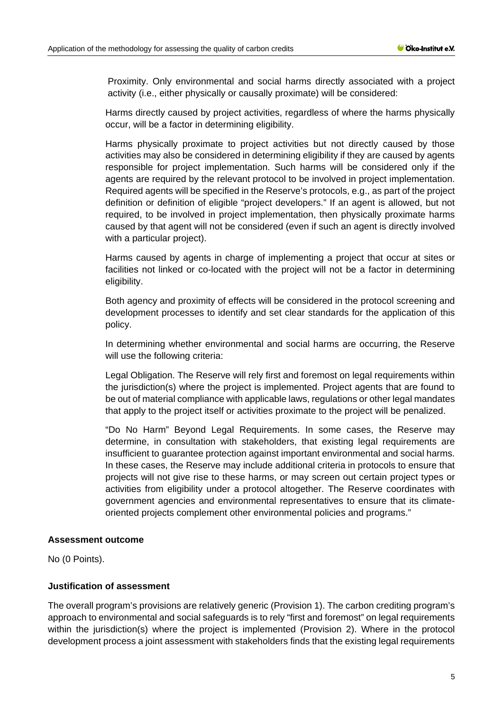Proximity. Only environmental and social harms directly associated with a project activity (i.e., either physically or causally proximate) will be considered:

Harms directly caused by project activities, regardless of where the harms physically occur, will be a factor in determining eligibility.

Harms physically proximate to project activities but not directly caused by those activities may also be considered in determining eligibility if they are caused by agents responsible for project implementation. Such harms will be considered only if the agents are required by the relevant protocol to be involved in project implementation. Required agents will be specified in the Reserve's protocols, e.g., as part of the project definition or definition of eligible "project developers." If an agent is allowed, but not required, to be involved in project implementation, then physically proximate harms caused by that agent will not be considered (even if such an agent is directly involved with a particular project).

Harms caused by agents in charge of implementing a project that occur at sites or facilities not linked or co-located with the project will not be a factor in determining eligibility.

Both agency and proximity of effects will be considered in the protocol screening and development processes to identify and set clear standards for the application of this policy.

In determining whether environmental and social harms are occurring, the Reserve will use the following criteria:

Legal Obligation. The Reserve will rely first and foremost on legal requirements within the jurisdiction(s) where the project is implemented. Project agents that are found to be out of material compliance with applicable laws, regulations or other legal mandates that apply to the project itself or activities proximate to the project will be penalized.

"Do No Harm" Beyond Legal Requirements. In some cases, the Reserve may determine, in consultation with stakeholders, that existing legal requirements are insufficient to guarantee protection against important environmental and social harms. In these cases, the Reserve may include additional criteria in protocols to ensure that projects will not give rise to these harms, or may screen out certain project types or activities from eligibility under a protocol altogether. The Reserve coordinates with government agencies and environmental representatives to ensure that its climateoriented projects complement other environmental policies and programs."

### **Assessment outcome**

No (0 Points).

# **Justification of assessment**

The overall program's provisions are relatively generic (Provision 1). The carbon crediting program's approach to environmental and social safeguards is to rely "first and foremost" on legal requirements within the jurisdiction(s) where the project is implemented (Provision 2). Where in the protocol development process a joint assessment with stakeholders finds that the existing legal requirements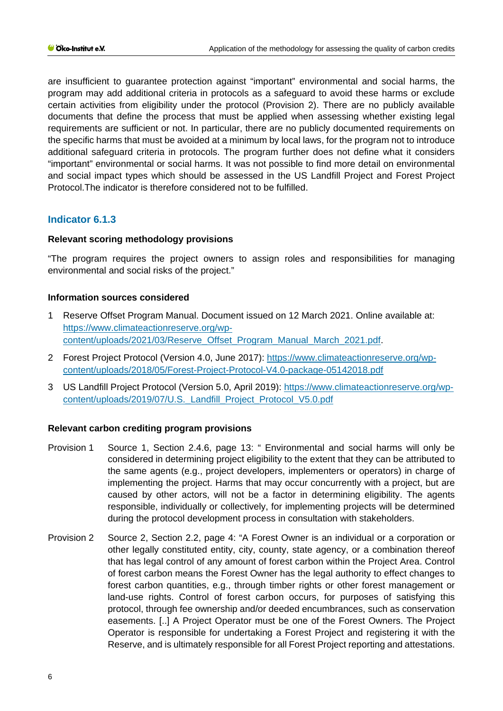are insufficient to guarantee protection against "important" environmental and social harms, the program may add additional criteria in protocols as a safeguard to avoid these harms or exclude certain activities from eligibility under the protocol (Provision 2). There are no publicly available documents that define the process that must be applied when assessing whether existing legal requirements are sufficient or not. In particular, there are no publicly documented requirements on the specific harms that must be avoided at a minimum by local laws, for the program not to introduce additional safeguard criteria in protocols. The program further does not define what it considers "important" environmental or social harms. It was not possible to find more detail on environmental and social impact types which should be assessed in the US Landfill Project and Forest Project Protocol.The indicator is therefore considered not to be fulfilled.

# **Indicator 6.1.3**

# **Relevant scoring methodology provisions**

"The program requires the project owners to assign roles and responsibilities for managing environmental and social risks of the project."

# **Information sources considered**

- 1 Reserve Offset Program Manual. Document issued on 12 March 2021. Online available at: [https://www.climateactionreserve.org/wp](https://www.climateactionreserve.org/wp-content/uploads/2021/03/Reserve_Offset_Program_Manual_March_2021.pdf)[content/uploads/2021/03/Reserve\\_Offset\\_Program\\_Manual\\_March\\_2021.pdf.](https://www.climateactionreserve.org/wp-content/uploads/2021/03/Reserve_Offset_Program_Manual_March_2021.pdf)
- 2 Forest Project Protocol (Version 4.0, June 2017): [https://www.climateactionreserve.org/wp](https://www.climateactionreserve.org/wp-content/uploads/2018/05/Forest-Project-Protocol-V4.0-package-05142018.pdf)[content/uploads/2018/05/Forest-Project-Protocol-V4.0-package-05142018.pdf](https://www.climateactionreserve.org/wp-content/uploads/2018/05/Forest-Project-Protocol-V4.0-package-05142018.pdf)
- 3 US Landfill Project Protocol (Version 5.0, April 2019): [https://www.climateactionreserve.org/wp](https://www.climateactionreserve.org/wp-content/uploads/2019/07/U.S._Landfill_Project_Protocol_V5.0.pdf)[content/uploads/2019/07/U.S.\\_Landfill\\_Project\\_Protocol\\_V5.0.pdf](https://www.climateactionreserve.org/wp-content/uploads/2019/07/U.S._Landfill_Project_Protocol_V5.0.pdf)

### **Relevant carbon crediting program provisions**

- Provision 1 Source 1, Section 2.4.6, page 13: " Environmental and social harms will only be considered in determining project eligibility to the extent that they can be attributed to the same agents (e.g., project developers, implementers or operators) in charge of implementing the project. Harms that may occur concurrently with a project, but are caused by other actors, will not be a factor in determining eligibility. The agents responsible, individually or collectively, for implementing projects will be determined during the protocol development process in consultation with stakeholders.
- Provision 2 Source 2, Section 2.2, page 4: "A Forest Owner is an individual or a corporation or other legally constituted entity, city, county, state agency, or a combination thereof that has legal control of any amount of forest carbon within the Project Area. Control of forest carbon means the Forest Owner has the legal authority to effect changes to forest carbon quantities, e.g., through timber rights or other forest management or land-use rights. Control of forest carbon occurs, for purposes of satisfying this protocol, through fee ownership and/or deeded encumbrances, such as conservation easements. [..] A Project Operator must be one of the Forest Owners. The Project Operator is responsible for undertaking a Forest Project and registering it with the Reserve, and is ultimately responsible for all Forest Project reporting and attestations.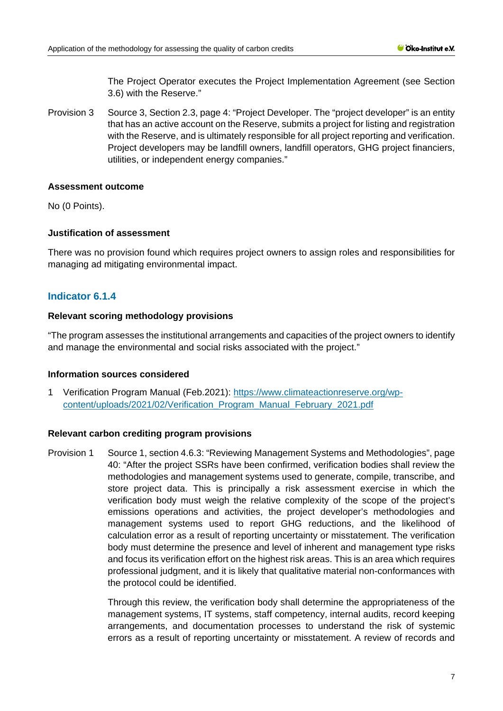The Project Operator executes the Project Implementation Agreement (see Section 3.6) with the Reserve."

Provision 3 Source 3, Section 2.3, page 4: "Project Developer. The "project developer" is an entity that has an active account on the Reserve, submits a project for listing and registration with the Reserve, and is ultimately responsible for all project reporting and verification. Project developers may be landfill owners, landfill operators, GHG project financiers, utilities, or independent energy companies."

### **Assessment outcome**

No (0 Points).

# **Justification of assessment**

There was no provision found which requires project owners to assign roles and responsibilities for managing ad mitigating environmental impact.

# **Indicator 6.1.4**

# **Relevant scoring methodology provisions**

"The program assesses the institutional arrangements and capacities of the project owners to identify and manage the environmental and social risks associated with the project."

### **Information sources considered**

1 Verification Program Manual (Feb.2021): [https://www.climateactionreserve.org/wp](https://www.climateactionreserve.org/wp-content/uploads/2021/02/Verification_Program_Manual_February_2021.pdf)[content/uploads/2021/02/Verification\\_Program\\_Manual\\_February\\_2021.pdf](https://www.climateactionreserve.org/wp-content/uploads/2021/02/Verification_Program_Manual_February_2021.pdf)

# **Relevant carbon crediting program provisions**

Provision 1 Source 1, section 4.6.3: "Reviewing Management Systems and Methodologies", page 40: "After the project SSRs have been confirmed, verification bodies shall review the methodologies and management systems used to generate, compile, transcribe, and store project data. This is principally a risk assessment exercise in which the verification body must weigh the relative complexity of the scope of the project's emissions operations and activities, the project developer's methodologies and management systems used to report GHG reductions, and the likelihood of calculation error as a result of reporting uncertainty or misstatement. The verification body must determine the presence and level of inherent and management type risks and focus its verification effort on the highest risk areas. This is an area which requires professional judgment, and it is likely that qualitative material non-conformances with the protocol could be identified.

> Through this review, the verification body shall determine the appropriateness of the management systems, IT systems, staff competency, internal audits, record keeping arrangements, and documentation processes to understand the risk of systemic errors as a result of reporting uncertainty or misstatement. A review of records and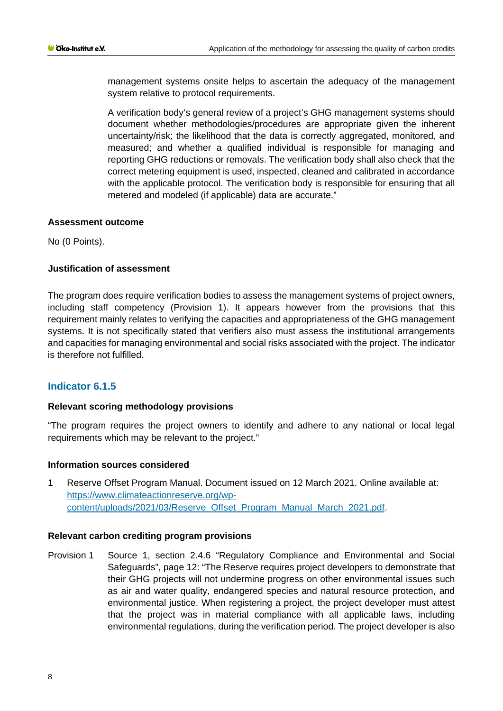management systems onsite helps to ascertain the adequacy of the management system relative to protocol requirements.

A verification body's general review of a project's GHG management systems should document whether methodologies/procedures are appropriate given the inherent uncertainty/risk; the likelihood that the data is correctly aggregated, monitored, and measured; and whether a qualified individual is responsible for managing and reporting GHG reductions or removals. The verification body shall also check that the correct metering equipment is used, inspected, cleaned and calibrated in accordance with the applicable protocol. The verification body is responsible for ensuring that all metered and modeled (if applicable) data are accurate."

# **Assessment outcome**

No (0 Points).

# **Justification of assessment**

The program does require verification bodies to assess the management systems of project owners, including staff competency (Provision 1). It appears however from the provisions that this requirement mainly relates to verifying the capacities and appropriateness of the GHG management systems. It is not specifically stated that verifiers also must assess the institutional arrangements and capacities for managing environmental and social risks associated with the project. The indicator is therefore not fulfilled.

# **Indicator 6.1.5**

# **Relevant scoring methodology provisions**

"The program requires the project owners to identify and adhere to any national or local legal requirements which may be relevant to the project."

### **Information sources considered**

1 Reserve Offset Program Manual. Document issued on 12 March 2021. Online available at: [https://www.climateactionreserve.org/wp](https://www.climateactionreserve.org/wp-content/uploads/2021/03/Reserve_Offset_Program_Manual_March_2021.pdf)[content/uploads/2021/03/Reserve\\_Offset\\_Program\\_Manual\\_March\\_2021.pdf.](https://www.climateactionreserve.org/wp-content/uploads/2021/03/Reserve_Offset_Program_Manual_March_2021.pdf)

### **Relevant carbon crediting program provisions**

Provision 1 Source 1, section 2.4.6 "Regulatory Compliance and Environmental and Social Safeguards", page 12: "The Reserve requires project developers to demonstrate that their GHG projects will not undermine progress on other environmental issues such as air and water quality, endangered species and natural resource protection, and environmental justice. When registering a project, the project developer must attest that the project was in material compliance with all applicable laws, including environmental regulations, during the verification period. The project developer is also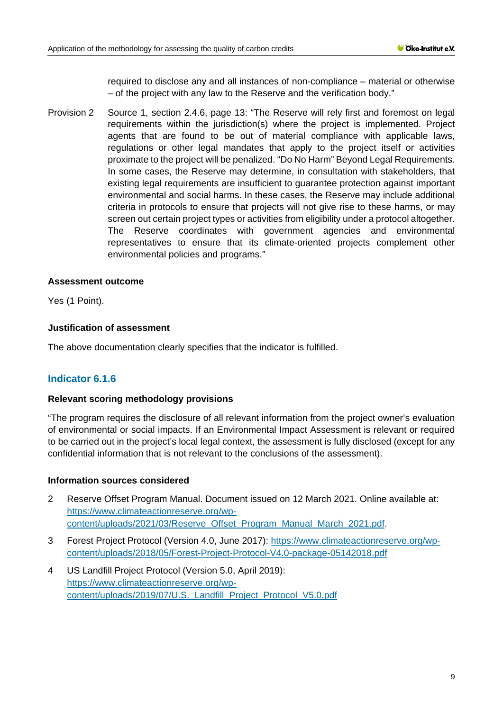required to disclose any and all instances of non-compliance – material or otherwise – of the project with any law to the Reserve and the verification body."

Provision 2 Source 1, section 2.4.6, page 13: "The Reserve will rely first and foremost on legal requirements within the jurisdiction(s) where the project is implemented. Project agents that are found to be out of material compliance with applicable laws, regulations or other legal mandates that apply to the project itself or activities proximate to the project will be penalized. "Do No Harm" Beyond Legal Requirements. In some cases, the Reserve may determine, in consultation with stakeholders, that existing legal requirements are insufficient to guarantee protection against important environmental and social harms. In these cases, the Reserve may include additional criteria in protocols to ensure that projects will not give rise to these harms, or may screen out certain project types or activities from eligibility under a protocol altogether. The Reserve coordinates with government agencies and environmental representatives to ensure that its climate-oriented projects complement other environmental policies and programs."

# **Assessment outcome**

Yes (1 Point).

# **Justification of assessment**

The above documentation clearly specifies that the indicator is fulfilled.

# **Indicator 6.1.6**

### **Relevant scoring methodology provisions**

"The program requires the disclosure of all relevant information from the project owner's evaluation of environmental or social impacts. If an Environmental Impact Assessment is relevant or required to be carried out in the project's local legal context, the assessment is fully disclosed (except for any confidential information that is not relevant to the conclusions of the assessment).

### **Information sources considered**

- 2 Reserve Offset Program Manual. Document issued on 12 March 2021. Online available at: [https://www.climateactionreserve.org/wp](https://www.climateactionreserve.org/wp-content/uploads/2021/03/Reserve_Offset_Program_Manual_March_2021.pdf)[content/uploads/2021/03/Reserve\\_Offset\\_Program\\_Manual\\_March\\_2021.pdf.](https://www.climateactionreserve.org/wp-content/uploads/2021/03/Reserve_Offset_Program_Manual_March_2021.pdf)
- 3 Forest Project Protocol (Version 4.0, June 2017): [https://www.climateactionreserve.org/wp](https://www.climateactionreserve.org/wp-content/uploads/2018/05/Forest-Project-Protocol-V4.0-package-05142018.pdf)[content/uploads/2018/05/Forest-Project-Protocol-V4.0-package-05142018.pdf](https://www.climateactionreserve.org/wp-content/uploads/2018/05/Forest-Project-Protocol-V4.0-package-05142018.pdf)
- 4 US Landfill Project Protocol (Version 5.0, April 2019): [https://www.climateactionreserve.org/wp](https://www.climateactionreserve.org/wp-content/uploads/2019/07/U.S._Landfill_Project_Protocol_V5.0.pdf)[content/uploads/2019/07/U.S.\\_Landfill\\_Project\\_Protocol\\_V5.0.pdf](https://www.climateactionreserve.org/wp-content/uploads/2019/07/U.S._Landfill_Project_Protocol_V5.0.pdf)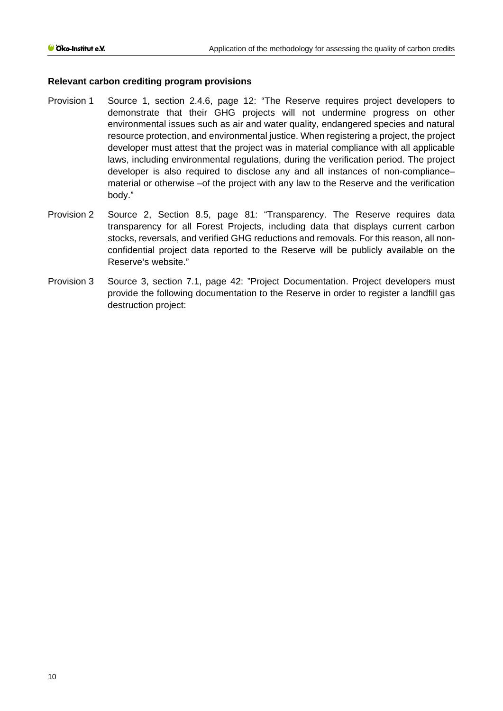# **Relevant carbon crediting program provisions**

- Provision 1 Source 1, section 2.4.6, page 12: "The Reserve requires project developers to demonstrate that their GHG projects will not undermine progress on other environmental issues such as air and water quality, endangered species and natural resource protection, and environmental justice. When registering a project, the project developer must attest that the project was in material compliance with all applicable laws, including environmental regulations, during the verification period. The project developer is also required to disclose any and all instances of non-compliance– material or otherwise –of the project with any law to the Reserve and the verification body."
- Provision 2 Source 2, Section 8.5, page 81: "Transparency. The Reserve requires data transparency for all Forest Projects, including data that displays current carbon stocks, reversals, and verified GHG reductions and removals. For this reason, all nonconfidential project data reported to the Reserve will be publicly available on the Reserve's website."
- Provision 3 Source 3, section 7.1, page 42: "Project Documentation. Project developers must provide the following documentation to the Reserve in order to register a landfill gas destruction project: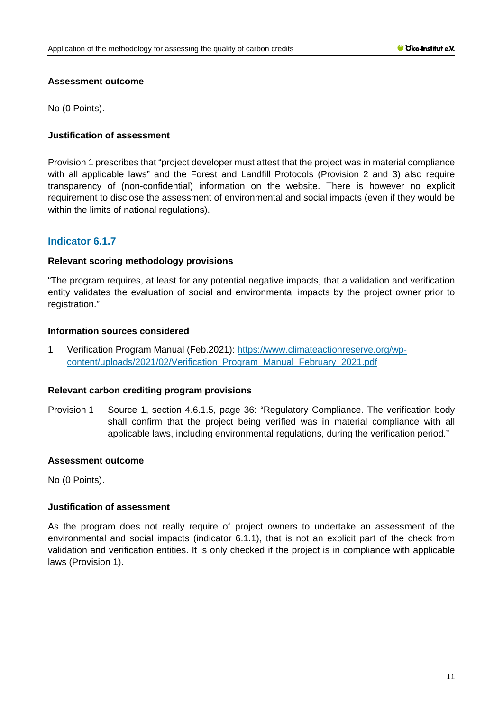# **Assessment outcome**

No (0 Points).

# **Justification of assessment**

Provision 1 prescribes that "project developer must attest that the project was in material compliance with all applicable laws" and the Forest and Landfill Protocols (Provision 2 and 3) also require transparency of (non-confidential) information on the website. There is however no explicit requirement to disclose the assessment of environmental and social impacts (even if they would be within the limits of national regulations).

# **Indicator 6.1.7**

# **Relevant scoring methodology provisions**

"The program requires, at least for any potential negative impacts, that a validation and verification entity validates the evaluation of social and environmental impacts by the project owner prior to registration."

# **Information sources considered**

1 Verification Program Manual (Feb.2021): [https://www.climateactionreserve.org/wp](https://www.climateactionreserve.org/wp-content/uploads/2021/02/Verification_Program_Manual_February_2021.pdf)[content/uploads/2021/02/Verification\\_Program\\_Manual\\_February\\_2021.pdf](https://www.climateactionreserve.org/wp-content/uploads/2021/02/Verification_Program_Manual_February_2021.pdf)

### **Relevant carbon crediting program provisions**

Provision 1 Source 1, section 4.6.1.5, page 36: "Regulatory Compliance. The verification body shall confirm that the project being verified was in material compliance with all applicable laws, including environmental regulations, during the verification period."

### **Assessment outcome**

No (0 Points).

### **Justification of assessment**

As the program does not really require of project owners to undertake an assessment of the environmental and social impacts (indicator 6.1.1), that is not an explicit part of the check from validation and verification entities. It is only checked if the project is in compliance with applicable laws (Provision 1).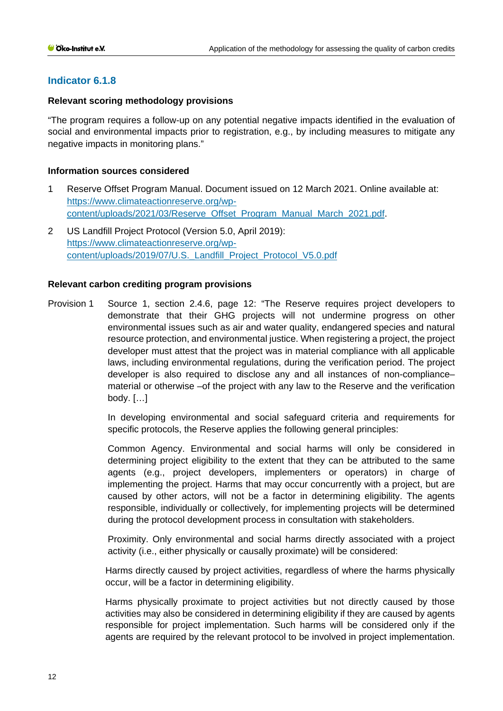# **Indicator 6.1.8**

# **Relevant scoring methodology provisions**

"The program requires a follow-up on any potential negative impacts identified in the evaluation of social and environmental impacts prior to registration, e.g., by including measures to mitigate any negative impacts in monitoring plans."

# **Information sources considered**

- 1 Reserve Offset Program Manual. Document issued on 12 March 2021. Online available at: [https://www.climateactionreserve.org/wp](https://www.climateactionreserve.org/wp-content/uploads/2021/03/Reserve_Offset_Program_Manual_March_2021.pdf)[content/uploads/2021/03/Reserve\\_Offset\\_Program\\_Manual\\_March\\_2021.pdf.](https://www.climateactionreserve.org/wp-content/uploads/2021/03/Reserve_Offset_Program_Manual_March_2021.pdf)
- 2 US Landfill Project Protocol (Version 5.0, April 2019): [https://www.climateactionreserve.org/wp](https://www.climateactionreserve.org/wp-content/uploads/2019/07/U.S._Landfill_Project_Protocol_V5.0.pdf)[content/uploads/2019/07/U.S.\\_Landfill\\_Project\\_Protocol\\_V5.0.pdf](https://www.climateactionreserve.org/wp-content/uploads/2019/07/U.S._Landfill_Project_Protocol_V5.0.pdf)

# **Relevant carbon crediting program provisions**

Provision 1 Source 1, section 2.4.6, page 12: "The Reserve requires project developers to demonstrate that their GHG projects will not undermine progress on other environmental issues such as air and water quality, endangered species and natural resource protection, and environmental justice. When registering a project, the project developer must attest that the project was in material compliance with all applicable laws, including environmental regulations, during the verification period. The project developer is also required to disclose any and all instances of non-compliance– material or otherwise –of the project with any law to the Reserve and the verification body. […]

> In developing environmental and social safeguard criteria and requirements for specific protocols, the Reserve applies the following general principles:

> Common Agency. Environmental and social harms will only be considered in determining project eligibility to the extent that they can be attributed to the same agents (e.g., project developers, implementers or operators) in charge of implementing the project. Harms that may occur concurrently with a project, but are caused by other actors, will not be a factor in determining eligibility. The agents responsible, individually or collectively, for implementing projects will be determined during the protocol development process in consultation with stakeholders.

> Proximity. Only environmental and social harms directly associated with a project activity (i.e., either physically or causally proximate) will be considered:

> Harms directly caused by project activities, regardless of where the harms physically occur, will be a factor in determining eligibility.

> Harms physically proximate to project activities but not directly caused by those activities may also be considered in determining eligibility if they are caused by agents responsible for project implementation. Such harms will be considered only if the agents are required by the relevant protocol to be involved in project implementation.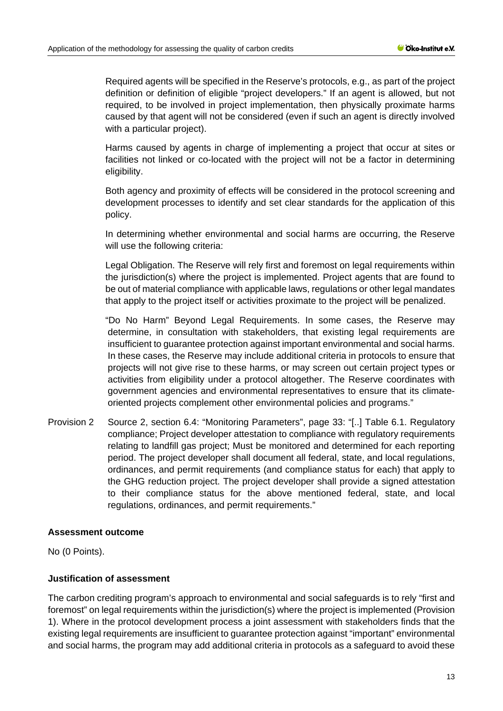Required agents will be specified in the Reserve's protocols, e.g., as part of the project definition or definition of eligible "project developers." If an agent is allowed, but not required, to be involved in project implementation, then physically proximate harms caused by that agent will not be considered (even if such an agent is directly involved with a particular project).

Harms caused by agents in charge of implementing a project that occur at sites or facilities not linked or co-located with the project will not be a factor in determining eligibility.

Both agency and proximity of effects will be considered in the protocol screening and development processes to identify and set clear standards for the application of this policy.

In determining whether environmental and social harms are occurring, the Reserve will use the following criteria:

Legal Obligation. The Reserve will rely first and foremost on legal requirements within the jurisdiction(s) where the project is implemented. Project agents that are found to be out of material compliance with applicable laws, regulations or other legal mandates that apply to the project itself or activities proximate to the project will be penalized.

"Do No Harm" Beyond Legal Requirements. In some cases, the Reserve may determine, in consultation with stakeholders, that existing legal requirements are insufficient to guarantee protection against important environmental and social harms. In these cases, the Reserve may include additional criteria in protocols to ensure that projects will not give rise to these harms, or may screen out certain project types or activities from eligibility under a protocol altogether. The Reserve coordinates with government agencies and environmental representatives to ensure that its climateoriented projects complement other environmental policies and programs."

Provision 2 Source 2, section 6.4: "Monitoring Parameters", page 33: "[..] Table 6.1. Regulatory compliance; Project developer attestation to compliance with regulatory requirements relating to landfill gas project; Must be monitored and determined for each reporting period. The project developer shall document all federal, state, and local regulations, ordinances, and permit requirements (and compliance status for each) that apply to the GHG reduction project. The project developer shall provide a signed attestation to their compliance status for the above mentioned federal, state, and local regulations, ordinances, and permit requirements."

### **Assessment outcome**

No (0 Points).

### **Justification of assessment**

The carbon crediting program's approach to environmental and social safeguards is to rely "first and foremost" on legal requirements within the jurisdiction(s) where the project is implemented (Provision 1). Where in the protocol development process a joint assessment with stakeholders finds that the existing legal requirements are insufficient to guarantee protection against "important" environmental and social harms, the program may add additional criteria in protocols as a safeguard to avoid these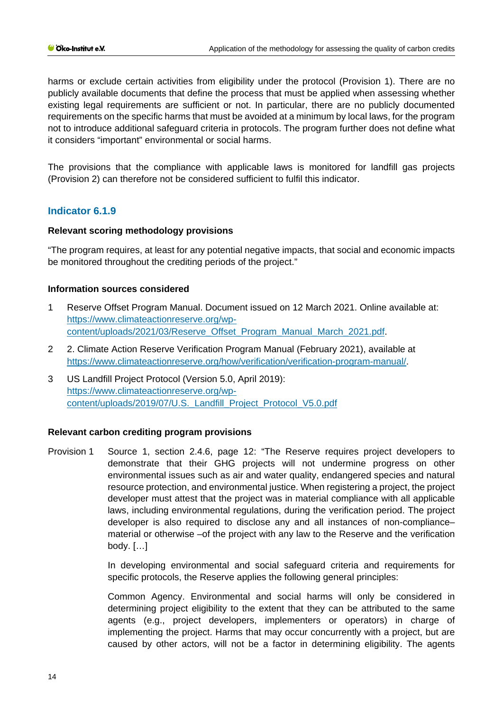harms or exclude certain activities from eligibility under the protocol (Provision 1). There are no publicly available documents that define the process that must be applied when assessing whether existing legal requirements are sufficient or not. In particular, there are no publicly documented requirements on the specific harms that must be avoided at a minimum by local laws, for the program not to introduce additional safeguard criteria in protocols. The program further does not define what it considers "important" environmental or social harms.

The provisions that the compliance with applicable laws is monitored for landfill gas projects (Provision 2) can therefore not be considered sufficient to fulfil this indicator.

# **Indicator 6.1.9**

# **Relevant scoring methodology provisions**

"The program requires, at least for any potential negative impacts, that social and economic impacts be monitored throughout the crediting periods of the project."

# **Information sources considered**

- 1 Reserve Offset Program Manual. Document issued on 12 March 2021. Online available at: [https://www.climateactionreserve.org/wp](https://www.climateactionreserve.org/wp-content/uploads/2021/03/Reserve_Offset_Program_Manual_March_2021.pdf)[content/uploads/2021/03/Reserve\\_Offset\\_Program\\_Manual\\_March\\_2021.pdf.](https://www.climateactionreserve.org/wp-content/uploads/2021/03/Reserve_Offset_Program_Manual_March_2021.pdf)
- 2 2. Climate Action Reserve Verification Program Manual (February 2021), available at https://www.climateactionreserve.org/how/verification/verification-program-manual/.
- 3 US Landfill Project Protocol (Version 5.0, April 2019): [https://www.climateactionreserve.org/wp](https://www.climateactionreserve.org/wp-content/uploads/2019/07/U.S._Landfill_Project_Protocol_V5.0.pdf)[content/uploads/2019/07/U.S.\\_Landfill\\_Project\\_Protocol\\_V5.0.pdf](https://www.climateactionreserve.org/wp-content/uploads/2019/07/U.S._Landfill_Project_Protocol_V5.0.pdf)

# **Relevant carbon crediting program provisions**

Provision 1 Source 1, section 2.4.6, page 12: "The Reserve requires project developers to demonstrate that their GHG projects will not undermine progress on other environmental issues such as air and water quality, endangered species and natural resource protection, and environmental justice. When registering a project, the project developer must attest that the project was in material compliance with all applicable laws, including environmental regulations, during the verification period. The project developer is also required to disclose any and all instances of non-compliance– material or otherwise –of the project with any law to the Reserve and the verification body. […]

> In developing environmental and social safeguard criteria and requirements for specific protocols, the Reserve applies the following general principles:

> Common Agency. Environmental and social harms will only be considered in determining project eligibility to the extent that they can be attributed to the same agents (e.g., project developers, implementers or operators) in charge of implementing the project. Harms that may occur concurrently with a project, but are caused by other actors, will not be a factor in determining eligibility. The agents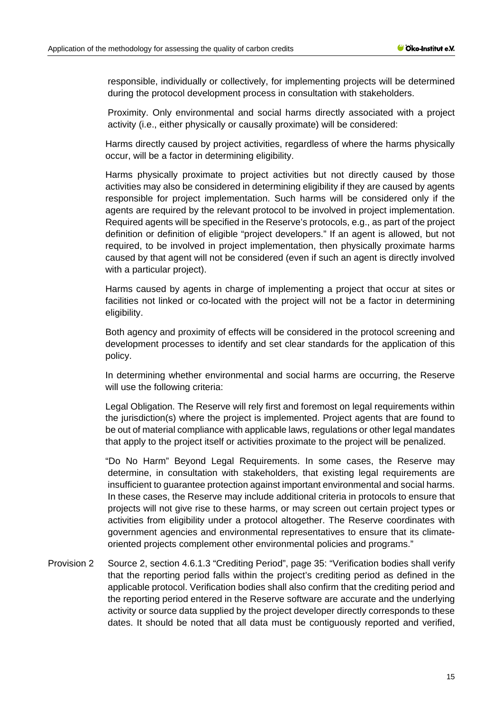responsible, individually or collectively, for implementing projects will be determined during the protocol development process in consultation with stakeholders.

Proximity. Only environmental and social harms directly associated with a project activity (i.e., either physically or causally proximate) will be considered:

Harms directly caused by project activities, regardless of where the harms physically occur, will be a factor in determining eligibility.

Harms physically proximate to project activities but not directly caused by those activities may also be considered in determining eligibility if they are caused by agents responsible for project implementation. Such harms will be considered only if the agents are required by the relevant protocol to be involved in project implementation. Required agents will be specified in the Reserve's protocols, e.g., as part of the project definition or definition of eligible "project developers." If an agent is allowed, but not required, to be involved in project implementation, then physically proximate harms caused by that agent will not be considered (even if such an agent is directly involved with a particular project).

Harms caused by agents in charge of implementing a project that occur at sites or facilities not linked or co-located with the project will not be a factor in determining eligibility.

Both agency and proximity of effects will be considered in the protocol screening and development processes to identify and set clear standards for the application of this policy.

In determining whether environmental and social harms are occurring, the Reserve will use the following criteria:

Legal Obligation. The Reserve will rely first and foremost on legal requirements within the jurisdiction(s) where the project is implemented. Project agents that are found to be out of material compliance with applicable laws, regulations or other legal mandates that apply to the project itself or activities proximate to the project will be penalized.

"Do No Harm" Beyond Legal Requirements. In some cases, the Reserve may determine, in consultation with stakeholders, that existing legal requirements are insufficient to guarantee protection against important environmental and social harms. In these cases, the Reserve may include additional criteria in protocols to ensure that projects will not give rise to these harms, or may screen out certain project types or activities from eligibility under a protocol altogether. The Reserve coordinates with government agencies and environmental representatives to ensure that its climateoriented projects complement other environmental policies and programs."

Provision 2 Source 2, section 4.6.1.3 "Crediting Period", page 35: "Verification bodies shall verify that the reporting period falls within the project's crediting period as defined in the applicable protocol. Verification bodies shall also confirm that the crediting period and the reporting period entered in the Reserve software are accurate and the underlying activity or source data supplied by the project developer directly corresponds to these dates. It should be noted that all data must be contiguously reported and verified,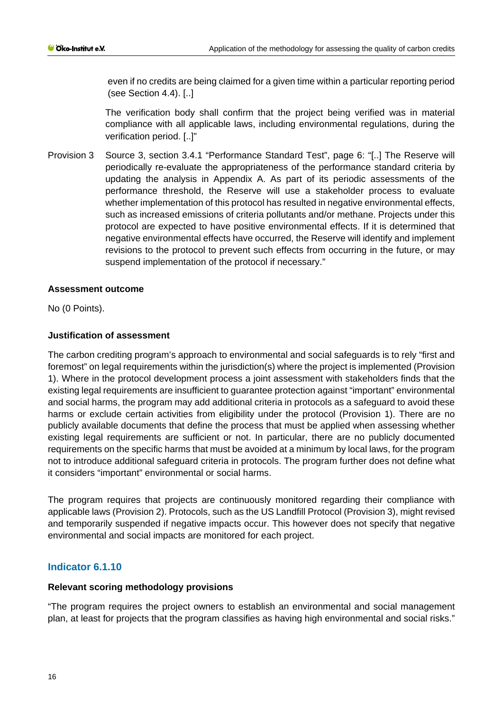even if no credits are being claimed for a given time within a particular reporting period (see Section 4.4). [..]

The verification body shall confirm that the project being verified was in material compliance with all applicable laws, including environmental regulations, during the verification period. [..]"

Provision 3 Source 3, section 3.4.1 "Performance Standard Test", page 6: "[..] The Reserve will periodically re-evaluate the appropriateness of the performance standard criteria by updating the analysis in Appendix A. As part of its periodic assessments of the performance threshold, the Reserve will use a stakeholder process to evaluate whether implementation of this protocol has resulted in negative environmental effects, such as increased emissions of criteria pollutants and/or methane. Projects under this protocol are expected to have positive environmental effects. If it is determined that negative environmental effects have occurred, the Reserve will identify and implement revisions to the protocol to prevent such effects from occurring in the future, or may suspend implementation of the protocol if necessary."

# **Assessment outcome**

No (0 Points).

# **Justification of assessment**

The carbon crediting program's approach to environmental and social safeguards is to rely "first and foremost" on legal requirements within the jurisdiction(s) where the project is implemented (Provision 1). Where in the protocol development process a joint assessment with stakeholders finds that the existing legal requirements are insufficient to guarantee protection against "important" environmental and social harms, the program may add additional criteria in protocols as a safeguard to avoid these harms or exclude certain activities from eligibility under the protocol (Provision 1). There are no publicly available documents that define the process that must be applied when assessing whether existing legal requirements are sufficient or not. In particular, there are no publicly documented requirements on the specific harms that must be avoided at a minimum by local laws, for the program not to introduce additional safeguard criteria in protocols. The program further does not define what it considers "important" environmental or social harms.

The program requires that projects are continuously monitored regarding their compliance with applicable laws (Provision 2). Protocols, such as the US Landfill Protocol (Provision 3), might revised and temporarily suspended if negative impacts occur. This however does not specify that negative environmental and social impacts are monitored for each project.

# **Indicator 6.1.10**

# **Relevant scoring methodology provisions**

"The program requires the project owners to establish an environmental and social management plan, at least for projects that the program classifies as having high environmental and social risks."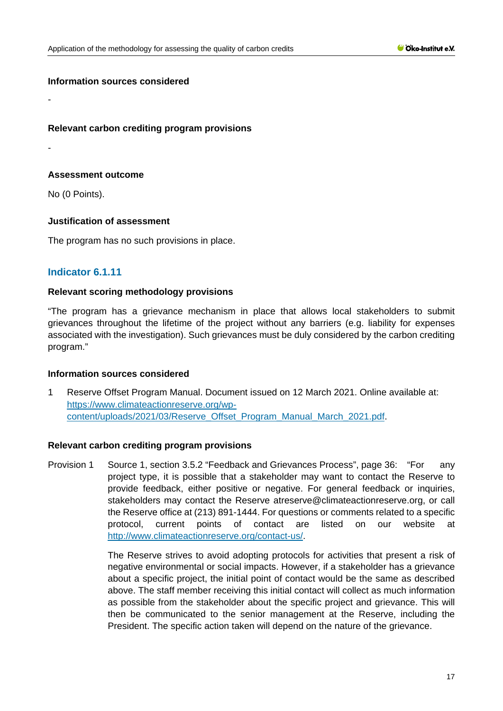### **Information sources considered**

### **Relevant carbon crediting program provisions**

-

-

# **Assessment outcome**

No (0 Points).

# **Justification of assessment**

The program has no such provisions in place.

# **Indicator 6.1.11**

# **Relevant scoring methodology provisions**

"The program has a grievance mechanism in place that allows local stakeholders to submit grievances throughout the lifetime of the project without any barriers (e.g. liability for expenses associated with the investigation). Such grievances must be duly considered by the carbon crediting program."

### **Information sources considered**

1 Reserve Offset Program Manual. Document issued on 12 March 2021. Online available at: [https://www.climateactionreserve.org/wp](https://www.climateactionreserve.org/wp-content/uploads/2021/03/Reserve_Offset_Program_Manual_March_2021.pdf)[content/uploads/2021/03/Reserve\\_Offset\\_Program\\_Manual\\_March\\_2021.pdf.](https://www.climateactionreserve.org/wp-content/uploads/2021/03/Reserve_Offset_Program_Manual_March_2021.pdf)

### **Relevant carbon crediting program provisions**

Provision 1 Source 1, section 3.5.2 "Feedback and Grievances Process", page 36: "For any project type, it is possible that a stakeholder may want to contact the Reserve to provide feedback, either positive or negative. For general feedback or inquiries, stakeholders may contact the Reserve atreserve@climateactionreserve.org, or call the Reserve office at (213) 891-1444. For questions or comments related to a specific protocol, current points of contact are listed on our website at [http://www.climateactionreserve.org/contact-us/.](http://www.climateactionreserve.org/contact-us/)

> The Reserve strives to avoid adopting protocols for activities that present a risk of negative environmental or social impacts. However, if a stakeholder has a grievance about a specific project, the initial point of contact would be the same as described above. The staff member receiving this initial contact will collect as much information as possible from the stakeholder about the specific project and grievance. This will then be communicated to the senior management at the Reserve, including the President. The specific action taken will depend on the nature of the grievance.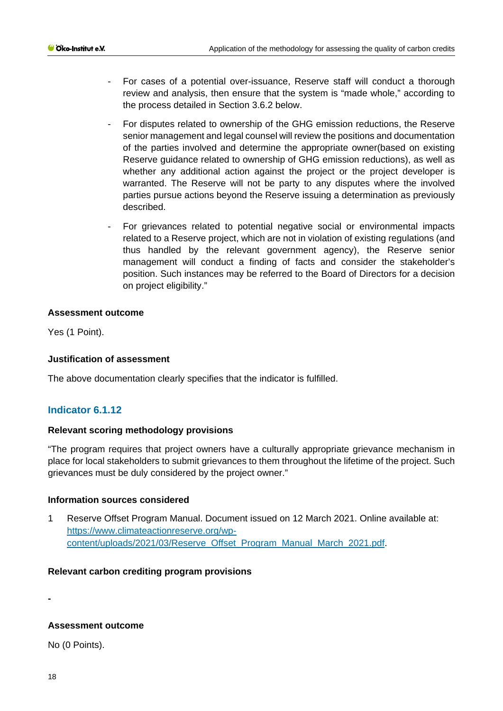- For cases of a potential over-issuance, Reserve staff will conduct a thorough review and analysis, then ensure that the system is "made whole," according to the process detailed in Section 3.6.2 below.
- For disputes related to ownership of the GHG emission reductions, the Reserve senior management and legal counsel will review the positions and documentation of the parties involved and determine the appropriate owner(based on existing Reserve guidance related to ownership of GHG emission reductions), as well as whether any additional action against the project or the project developer is warranted. The Reserve will not be party to any disputes where the involved parties pursue actions beyond the Reserve issuing a determination as previously described.
- For grievances related to potential negative social or environmental impacts related to a Reserve project, which are not in violation of existing regulations (and thus handled by the relevant government agency), the Reserve senior management will conduct a finding of facts and consider the stakeholder's position. Such instances may be referred to the Board of Directors for a decision on project eligibility."

# **Assessment outcome**

Yes (1 Point).

# **Justification of assessment**

The above documentation clearly specifies that the indicator is fulfilled.

# **Indicator 6.1.12**

# **Relevant scoring methodology provisions**

"The program requires that project owners have a culturally appropriate grievance mechanism in place for local stakeholders to submit grievances to them throughout the lifetime of the project. Such grievances must be duly considered by the project owner."

### **Information sources considered**

1 Reserve Offset Program Manual. Document issued on 12 March 2021. Online available at: [https://www.climateactionreserve.org/wp](https://www.climateactionreserve.org/wp-content/uploads/2021/03/Reserve_Offset_Program_Manual_March_2021.pdf)[content/uploads/2021/03/Reserve\\_Offset\\_Program\\_Manual\\_March\\_2021.pdf.](https://www.climateactionreserve.org/wp-content/uploads/2021/03/Reserve_Offset_Program_Manual_March_2021.pdf)

### **Relevant carbon crediting program provisions**

**-**

# **Assessment outcome**

No (0 Points).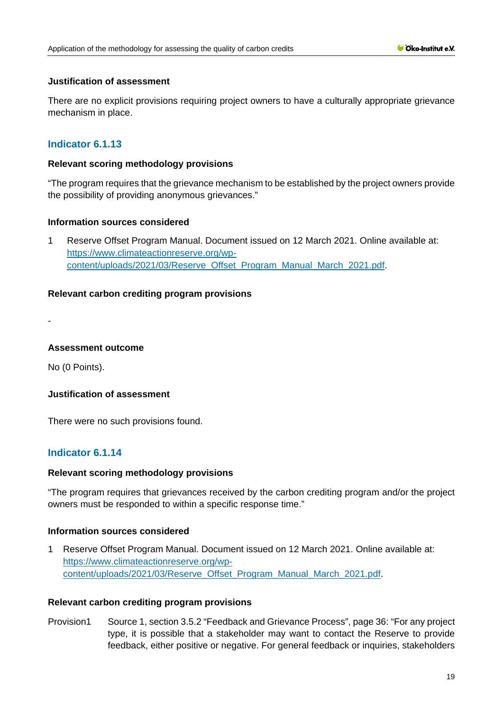# **Justification of assessment**

There are no explicit provisions requiring project owners to have a culturally appropriate grievance mechanism in place.

# **Indicator 6.1.13**

# **Relevant scoring methodology provisions**

"The program requires that the grievance mechanism to be established by the project owners provide the possibility of providing anonymous grievances."

# **Information sources considered**

1 Reserve Offset Program Manual. Document issued on 12 March 2021. Online available at: [https://www.climateactionreserve.org/wp](https://www.climateactionreserve.org/wp-content/uploads/2021/03/Reserve_Offset_Program_Manual_March_2021.pdf)[content/uploads/2021/03/Reserve\\_Offset\\_Program\\_Manual\\_March\\_2021.pdf.](https://www.climateactionreserve.org/wp-content/uploads/2021/03/Reserve_Offset_Program_Manual_March_2021.pdf)

# **Relevant carbon crediting program provisions**

-

# **Assessment outcome**

No (0 Points).

# **Justification of assessment**

There were no such provisions found.

# **Indicator 6.1.14**

### **Relevant scoring methodology provisions**

"The program requires that grievances received by the carbon crediting program and/or the project owners must be responded to within a specific response time."

### **Information sources considered**

1 Reserve Offset Program Manual. Document issued on 12 March 2021. Online available at: [https://www.climateactionreserve.org/wp](https://www.climateactionreserve.org/wp-content/uploads/2021/03/Reserve_Offset_Program_Manual_March_2021.pdf)[content/uploads/2021/03/Reserve\\_Offset\\_Program\\_Manual\\_March\\_2021.pdf.](https://www.climateactionreserve.org/wp-content/uploads/2021/03/Reserve_Offset_Program_Manual_March_2021.pdf)

### **Relevant carbon crediting program provisions**

Provision1 Source 1, section 3.5.2 "Feedback and Grievance Process", page 36: "For any project type, it is possible that a stakeholder may want to contact the Reserve to provide feedback, either positive or negative. For general feedback or inquiries, stakeholders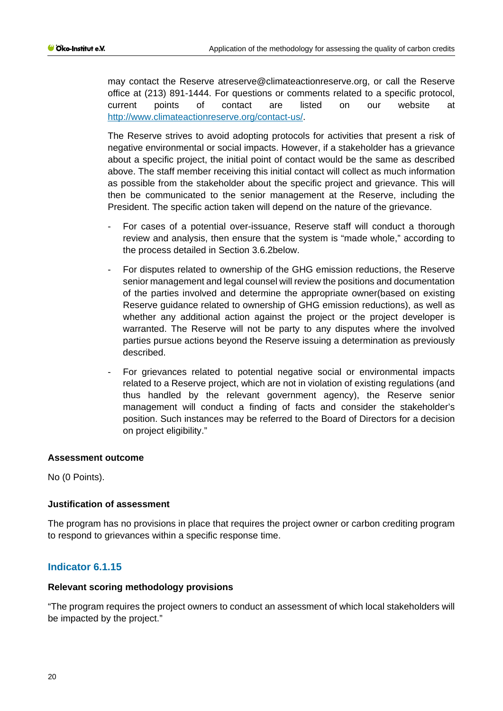may contact the Reserve atreserve@climateactionreserve.org, or call the Reserve office at (213) 891-1444. For questions or comments related to a specific protocol, current points of contact are listed on our website at [http://www.climateactionreserve.org/contact-us/.](http://www.climateactionreserve.org/contact-us/)

The Reserve strives to avoid adopting protocols for activities that present a risk of negative environmental or social impacts. However, if a stakeholder has a grievance about a specific project, the initial point of contact would be the same as described above. The staff member receiving this initial contact will collect as much information as possible from the stakeholder about the specific project and grievance. This will then be communicated to the senior management at the Reserve, including the President. The specific action taken will depend on the nature of the grievance.

- For cases of a potential over-issuance, Reserve staff will conduct a thorough review and analysis, then ensure that the system is "made whole," according to the process detailed in Section 3.6.2below.
- For disputes related to ownership of the GHG emission reductions, the Reserve senior management and legal counsel will review the positions and documentation of the parties involved and determine the appropriate owner(based on existing Reserve guidance related to ownership of GHG emission reductions), as well as whether any additional action against the project or the project developer is warranted. The Reserve will not be party to any disputes where the involved parties pursue actions beyond the Reserve issuing a determination as previously described.
- For grievances related to potential negative social or environmental impacts related to a Reserve project, which are not in violation of existing regulations (and thus handled by the relevant government agency), the Reserve senior management will conduct a finding of facts and consider the stakeholder's position. Such instances may be referred to the Board of Directors for a decision on project eligibility."

### **Assessment outcome**

No (0 Points).

### **Justification of assessment**

The program has no provisions in place that requires the project owner or carbon crediting program to respond to grievances within a specific response time.

### **Indicator 6.1.15**

#### **Relevant scoring methodology provisions**

"The program requires the project owners to conduct an assessment of which local stakeholders will be impacted by the project."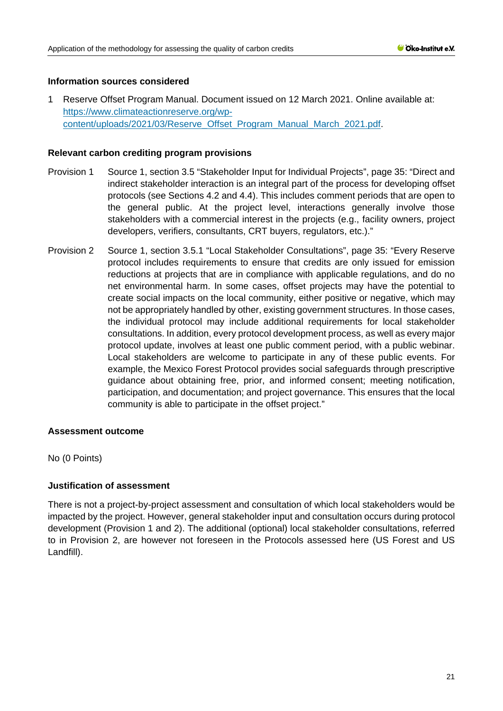# **Information sources considered**

1 Reserve Offset Program Manual. Document issued on 12 March 2021. Online available at: [https://www.climateactionreserve.org/wp](https://www.climateactionreserve.org/wp-content/uploads/2021/03/Reserve_Offset_Program_Manual_March_2021.pdf)[content/uploads/2021/03/Reserve\\_Offset\\_Program\\_Manual\\_March\\_2021.pdf.](https://www.climateactionreserve.org/wp-content/uploads/2021/03/Reserve_Offset_Program_Manual_March_2021.pdf)

# **Relevant carbon crediting program provisions**

- Provision 1 Source 1, section 3.5 "Stakeholder Input for Individual Projects", page 35: "Direct and indirect stakeholder interaction is an integral part of the process for developing offset protocols (see Sections 4.2 and 4.4). This includes comment periods that are open to the general public. At the project level, interactions generally involve those stakeholders with a commercial interest in the projects (e.g., facility owners, project developers, verifiers, consultants, CRT buyers, regulators, etc.)."
- Provision 2 Source 1, section 3.5.1 "Local Stakeholder Consultations", page 35: "Every Reserve protocol includes requirements to ensure that credits are only issued for emission reductions at projects that are in compliance with applicable regulations, and do no net environmental harm. In some cases, offset projects may have the potential to create social impacts on the local community, either positive or negative, which may not be appropriately handled by other, existing government structures. In those cases, the individual protocol may include additional requirements for local stakeholder consultations. In addition, every protocol development process, as well as every major protocol update, involves at least one public comment period, with a public webinar. Local stakeholders are welcome to participate in any of these public events. For example, the Mexico Forest Protocol provides social safeguards through prescriptive guidance about obtaining free, prior, and informed consent; meeting notification, participation, and documentation; and project governance. This ensures that the local community is able to participate in the offset project."

### **Assessment outcome**

No (0 Points)

# **Justification of assessment**

There is not a project-by-project assessment and consultation of which local stakeholders would be impacted by the project. However, general stakeholder input and consultation occurs during protocol development (Provision 1 and 2). The additional (optional) local stakeholder consultations, referred to in Provision 2, are however not foreseen in the Protocols assessed here (US Forest and US Landfill).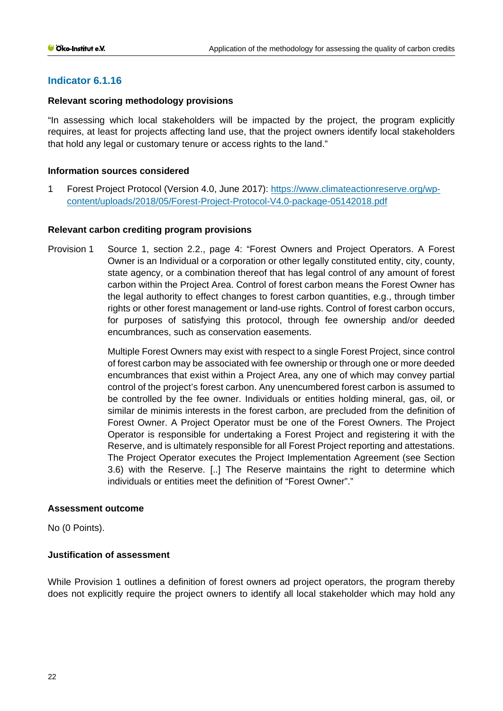# **Indicator 6.1.16**

# **Relevant scoring methodology provisions**

"In assessing which local stakeholders will be impacted by the project, the program explicitly requires, at least for projects affecting land use, that the project owners identify local stakeholders that hold any legal or customary tenure or access rights to the land."

# **Information sources considered**

1 Forest Project Protocol (Version 4.0, June 2017): [https://www.climateactionreserve.org/wp](https://www.climateactionreserve.org/wp-content/uploads/2018/05/Forest-Project-Protocol-V4.0-package-05142018.pdf)[content/uploads/2018/05/Forest-Project-Protocol-V4.0-package-05142018.pdf](https://www.climateactionreserve.org/wp-content/uploads/2018/05/Forest-Project-Protocol-V4.0-package-05142018.pdf)

# **Relevant carbon crediting program provisions**

Provision 1 Source 1, section 2.2., page 4: "Forest Owners and Project Operators. A Forest Owner is an Individual or a corporation or other legally constituted entity, city, county, state agency, or a combination thereof that has legal control of any amount of forest carbon within the Project Area. Control of forest carbon means the Forest Owner has the legal authority to effect changes to forest carbon quantities, e.g., through timber rights or other forest management or land-use rights. Control of forest carbon occurs, for purposes of satisfying this protocol, through fee ownership and/or deeded encumbrances, such as conservation easements.

> Multiple Forest Owners may exist with respect to a single Forest Project, since control of forest carbon may be associated with fee ownership or through one or more deeded encumbrances that exist within a Project Area, any one of which may convey partial control of the project's forest carbon. Any unencumbered forest carbon is assumed to be controlled by the fee owner. Individuals or entities holding mineral, gas, oil, or similar de minimis interests in the forest carbon, are precluded from the definition of Forest Owner. A Project Operator must be one of the Forest Owners. The Project Operator is responsible for undertaking a Forest Project and registering it with the Reserve, and is ultimately responsible for all Forest Project reporting and attestations. The Project Operator executes the Project Implementation Agreement (see Section 3.6) with the Reserve. [..] The Reserve maintains the right to determine which individuals or entities meet the definition of "Forest Owner"."

### **Assessment outcome**

No (0 Points).

# **Justification of assessment**

While Provision 1 outlines a definition of forest owners ad project operators, the program thereby does not explicitly require the project owners to identify all local stakeholder which may hold any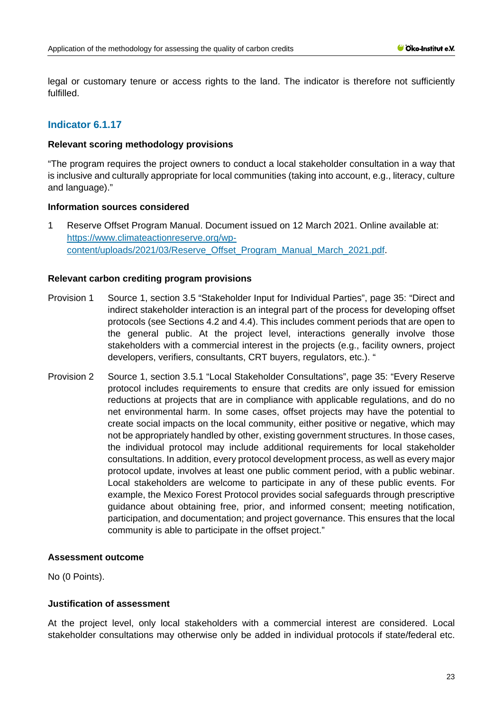legal or customary tenure or access rights to the land. The indicator is therefore not sufficiently fulfilled.

# **Indicator 6.1.17**

### **Relevant scoring methodology provisions**

"The program requires the project owners to conduct a local stakeholder consultation in a way that is inclusive and culturally appropriate for local communities (taking into account, e.g., literacy, culture and language)."

### **Information sources considered**

1 Reserve Offset Program Manual. Document issued on 12 March 2021. Online available at: [https://www.climateactionreserve.org/wp](https://www.climateactionreserve.org/wp-content/uploads/2021/03/Reserve_Offset_Program_Manual_March_2021.pdf)[content/uploads/2021/03/Reserve\\_Offset\\_Program\\_Manual\\_March\\_2021.pdf.](https://www.climateactionreserve.org/wp-content/uploads/2021/03/Reserve_Offset_Program_Manual_March_2021.pdf)

# **Relevant carbon crediting program provisions**

- Provision 1 Source 1, section 3.5 "Stakeholder Input for Individual Parties", page 35: "Direct and indirect stakeholder interaction is an integral part of the process for developing offset protocols (see Sections 4.2 and 4.4). This includes comment periods that are open to the general public. At the project level, interactions generally involve those stakeholders with a commercial interest in the projects (e.g., facility owners, project developers, verifiers, consultants, CRT buyers, regulators, etc.). "
- Provision 2 Source 1, section 3.5.1 "Local Stakeholder Consultations", page 35: "Every Reserve protocol includes requirements to ensure that credits are only issued for emission reductions at projects that are in compliance with applicable regulations, and do no net environmental harm. In some cases, offset projects may have the potential to create social impacts on the local community, either positive or negative, which may not be appropriately handled by other, existing government structures. In those cases, the individual protocol may include additional requirements for local stakeholder consultations. In addition, every protocol development process, as well as every major protocol update, involves at least one public comment period, with a public webinar. Local stakeholders are welcome to participate in any of these public events. For example, the Mexico Forest Protocol provides social safeguards through prescriptive guidance about obtaining free, prior, and informed consent; meeting notification, participation, and documentation; and project governance. This ensures that the local community is able to participate in the offset project."

### **Assessment outcome**

No (0 Points).

# **Justification of assessment**

At the project level, only local stakeholders with a commercial interest are considered. Local stakeholder consultations may otherwise only be added in individual protocols if state/federal etc.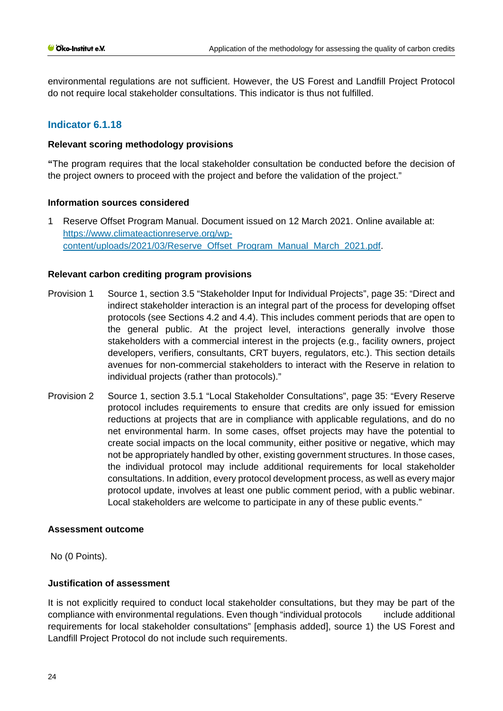environmental regulations are not sufficient. However, the US Forest and Landfill Project Protocol do not require local stakeholder consultations. This indicator is thus not fulfilled.

# **Indicator 6.1.18**

### **Relevant scoring methodology provisions**

**"**The program requires that the local stakeholder consultation be conducted before the decision of the project owners to proceed with the project and before the validation of the project."

# **Information sources considered**

1 Reserve Offset Program Manual. Document issued on 12 March 2021. Online available at: [https://www.climateactionreserve.org/wp](https://www.climateactionreserve.org/wp-content/uploads/2021/03/Reserve_Offset_Program_Manual_March_2021.pdf)[content/uploads/2021/03/Reserve\\_Offset\\_Program\\_Manual\\_March\\_2021.pdf.](https://www.climateactionreserve.org/wp-content/uploads/2021/03/Reserve_Offset_Program_Manual_March_2021.pdf)

# **Relevant carbon crediting program provisions**

- Provision 1 Source 1, section 3.5 "Stakeholder Input for Individual Projects", page 35: "Direct and indirect stakeholder interaction is an integral part of the process for developing offset protocols (see Sections 4.2 and 4.4). This includes comment periods that are open to the general public. At the project level, interactions generally involve those stakeholders with a commercial interest in the projects (e.g., facility owners, project developers, verifiers, consultants, CRT buyers, regulators, etc.). This section details avenues for non-commercial stakeholders to interact with the Reserve in relation to individual projects (rather than protocols)."
- Provision 2 Source 1, section 3.5.1 "Local Stakeholder Consultations", page 35: "Every Reserve protocol includes requirements to ensure that credits are only issued for emission reductions at projects that are in compliance with applicable regulations, and do no net environmental harm. In some cases, offset projects may have the potential to create social impacts on the local community, either positive or negative, which may not be appropriately handled by other, existing government structures. In those cases, the individual protocol may include additional requirements for local stakeholder consultations. In addition, every protocol development process, as well as every major protocol update, involves at least one public comment period, with a public webinar. Local stakeholders are welcome to participate in any of these public events."

### **Assessment outcome**

No (0 Points).

### **Justification of assessment**

It is not explicitly required to conduct local stakeholder consultations, but they may be part of the compliance with environmental regulations. Even though "individual protocols include additional requirements for local stakeholder consultations" [emphasis added], source 1) the US Forest and Landfill Project Protocol do not include such requirements.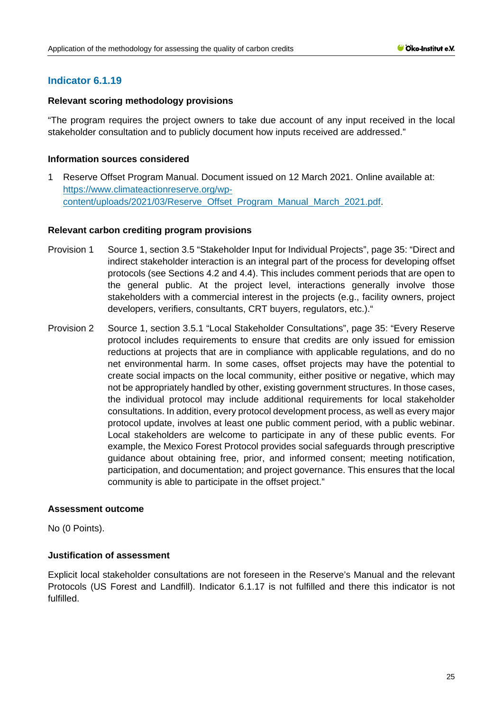# **Indicator 6.1.19**

# **Relevant scoring methodology provisions**

"The program requires the project owners to take due account of any input received in the local stakeholder consultation and to publicly document how inputs received are addressed."

# **Information sources considered**

1 Reserve Offset Program Manual. Document issued on 12 March 2021. Online available at: [https://www.climateactionreserve.org/wp](https://www.climateactionreserve.org/wp-content/uploads/2021/03/Reserve_Offset_Program_Manual_March_2021.pdf)[content/uploads/2021/03/Reserve\\_Offset\\_Program\\_Manual\\_March\\_2021.pdf.](https://www.climateactionreserve.org/wp-content/uploads/2021/03/Reserve_Offset_Program_Manual_March_2021.pdf)

# **Relevant carbon crediting program provisions**

- Provision 1 Source 1, section 3.5 "Stakeholder Input for Individual Projects", page 35: "Direct and indirect stakeholder interaction is an integral part of the process for developing offset protocols (see Sections 4.2 and 4.4). This includes comment periods that are open to the general public. At the project level, interactions generally involve those stakeholders with a commercial interest in the projects (e.g., facility owners, project developers, verifiers, consultants, CRT buyers, regulators, etc.)."
- Provision 2 Source 1, section 3.5.1 "Local Stakeholder Consultations", page 35: "Every Reserve protocol includes requirements to ensure that credits are only issued for emission reductions at projects that are in compliance with applicable regulations, and do no net environmental harm. In some cases, offset projects may have the potential to create social impacts on the local community, either positive or negative, which may not be appropriately handled by other, existing government structures. In those cases, the individual protocol may include additional requirements for local stakeholder consultations. In addition, every protocol development process, as well as every major protocol update, involves at least one public comment period, with a public webinar. Local stakeholders are welcome to participate in any of these public events. For example, the Mexico Forest Protocol provides social safeguards through prescriptive guidance about obtaining free, prior, and informed consent; meeting notification, participation, and documentation; and project governance. This ensures that the local community is able to participate in the offset project."

### **Assessment outcome**

No (0 Points).

# **Justification of assessment**

Explicit local stakeholder consultations are not foreseen in the Reserve's Manual and the relevant Protocols (US Forest and Landfill). Indicator 6.1.17 is not fulfilled and there this indicator is not fulfilled.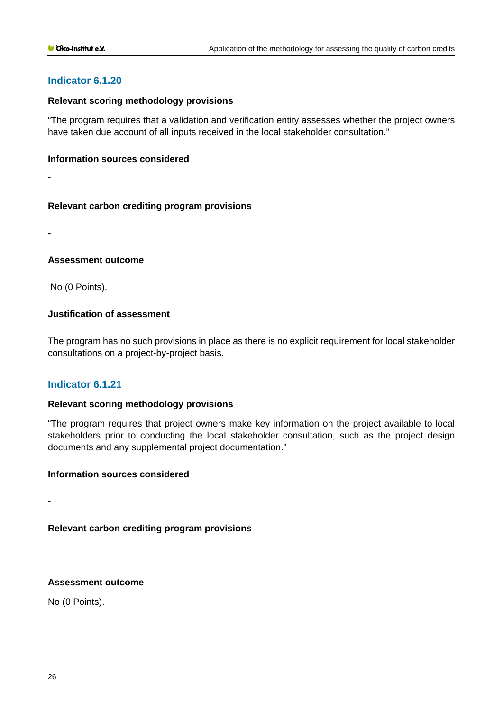# **Indicator 6.1.20**

# **Relevant scoring methodology provisions**

"The program requires that a validation and verification entity assesses whether the project owners have taken due account of all inputs received in the local stakeholder consultation."

### **Information sources considered**

-

# **Relevant carbon crediting program provisions**

**-**

# **Assessment outcome**

No (0 Points).

# **Justification of assessment**

The program has no such provisions in place as there is no explicit requirement for local stakeholder consultations on a project-by-project basis.

# **Indicator 6.1.21**

# **Relevant scoring methodology provisions**

"The program requires that project owners make key information on the project available to local stakeholders prior to conducting the local stakeholder consultation, such as the project design documents and any supplemental project documentation."

### **Information sources considered**

-

# **Relevant carbon crediting program provisions**

-

# **Assessment outcome**

No (0 Points).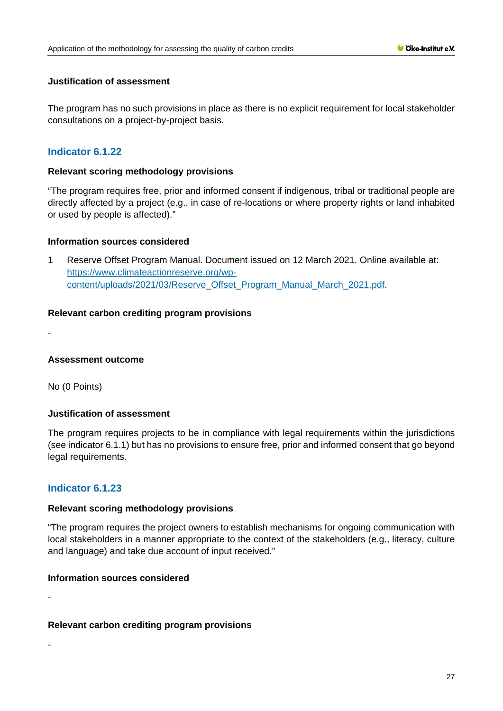# **Justification of assessment**

The program has no such provisions in place as there is no explicit requirement for local stakeholder consultations on a project-by-project basis.

# **Indicator 6.1.22**

### **Relevant scoring methodology provisions**

"The program requires free, prior and informed consent if indigenous, tribal or traditional people are directly affected by a project (e.g., in case of re-locations or where property rights or land inhabited or used by people is affected)."

# **Information sources considered**

1 Reserve Offset Program Manual. Document issued on 12 March 2021. Online available at: [https://www.climateactionreserve.org/wp](https://www.climateactionreserve.org/wp-content/uploads/2021/03/Reserve_Offset_Program_Manual_March_2021.pdf)[content/uploads/2021/03/Reserve\\_Offset\\_Program\\_Manual\\_March\\_2021.pdf.](https://www.climateactionreserve.org/wp-content/uploads/2021/03/Reserve_Offset_Program_Manual_March_2021.pdf)

# **Relevant carbon crediting program provisions**

**Assessment outcome**

No (0 Points)

-

-

-

# **Justification of assessment**

The program requires projects to be in compliance with legal requirements within the jurisdictions (see indicator 6.1.1) but has no provisions to ensure free, prior and informed consent that go beyond legal requirements.

# **Indicator 6.1.23**

### **Relevant scoring methodology provisions**

"The program requires the project owners to establish mechanisms for ongoing communication with local stakeholders in a manner appropriate to the context of the stakeholders (e.g., literacy, culture and language) and take due account of input received."

### **Information sources considered**

# **Relevant carbon crediting program provisions**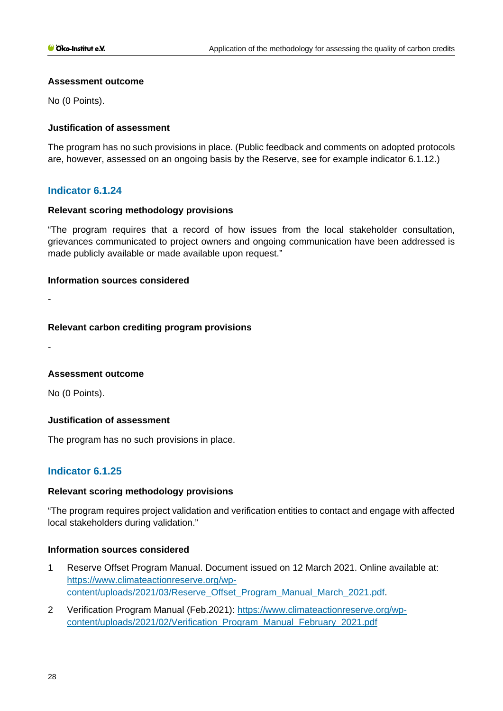# **Assessment outcome**

No (0 Points).

# **Justification of assessment**

The program has no such provisions in place. (Public feedback and comments on adopted protocols are, however, assessed on an ongoing basis by the Reserve, see for example indicator 6.1.12.)

# **Indicator 6.1.24**

# **Relevant scoring methodology provisions**

"The program requires that a record of how issues from the local stakeholder consultation, grievances communicated to project owners and ongoing communication have been addressed is made publicly available or made available upon request."

### **Information sources considered**

-

# **Relevant carbon crediting program provisions**

-

# **Assessment outcome**

No (0 Points).

# **Justification of assessment**

The program has no such provisions in place.

# **Indicator 6.1.25**

# **Relevant scoring methodology provisions**

"The program requires project validation and verification entities to contact and engage with affected local stakeholders during validation."

# **Information sources considered**

- 1 Reserve Offset Program Manual. Document issued on 12 March 2021. Online available at: [https://www.climateactionreserve.org/wp](https://www.climateactionreserve.org/wp-content/uploads/2021/03/Reserve_Offset_Program_Manual_March_2021.pdf)[content/uploads/2021/03/Reserve\\_Offset\\_Program\\_Manual\\_March\\_2021.pdf.](https://www.climateactionreserve.org/wp-content/uploads/2021/03/Reserve_Offset_Program_Manual_March_2021.pdf)
- 2 Verification Program Manual (Feb.2021): [https://www.climateactionreserve.org/wp](https://www.climateactionreserve.org/wp-content/uploads/2021/02/Verification_Program_Manual_February_2021.pdf)[content/uploads/2021/02/Verification\\_Program\\_Manual\\_February\\_2021.pdf](https://www.climateactionreserve.org/wp-content/uploads/2021/02/Verification_Program_Manual_February_2021.pdf)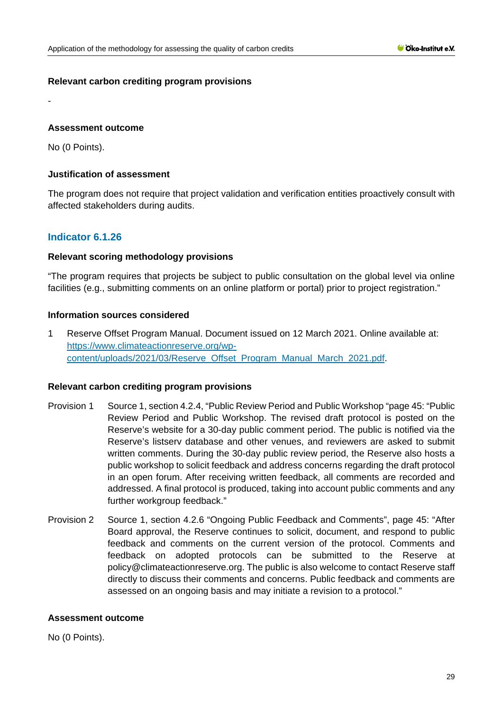# **Relevant carbon crediting program provisions**

# **Assessment outcome**

No (0 Points).

-

# **Justification of assessment**

The program does not require that project validation and verification entities proactively consult with affected stakeholders during audits.

# **Indicator 6.1.26**

# **Relevant scoring methodology provisions**

"The program requires that projects be subject to public consultation on the global level via online facilities (e.g., submitting comments on an online platform or portal) prior to project registration."

# **Information sources considered**

1 Reserve Offset Program Manual. Document issued on 12 March 2021. Online available at: [https://www.climateactionreserve.org/wp](https://www.climateactionreserve.org/wp-content/uploads/2021/03/Reserve_Offset_Program_Manual_March_2021.pdf)[content/uploads/2021/03/Reserve\\_Offset\\_Program\\_Manual\\_March\\_2021.pdf.](https://www.climateactionreserve.org/wp-content/uploads/2021/03/Reserve_Offset_Program_Manual_March_2021.pdf)

### **Relevant carbon crediting program provisions**

- Provision 1 Source 1, section 4.2.4, "Public Review Period and Public Workshop "page 45: "Public Review Period and Public Workshop. The revised draft protocol is posted on the Reserve's website for a 30-day public comment period. The public is notified via the Reserve's listserv database and other venues, and reviewers are asked to submit written comments. During the 30-day public review period, the Reserve also hosts a public workshop to solicit feedback and address concerns regarding the draft protocol in an open forum. After receiving written feedback, all comments are recorded and addressed. A final protocol is produced, taking into account public comments and any further workgroup feedback."
- Provision 2 Source 1, section 4.2.6 "Ongoing Public Feedback and Comments", page 45: "After Board approval, the Reserve continues to solicit, document, and respond to public feedback and comments on the current version of the protocol. Comments and feedback on adopted protocols can be submitted to the Reserve at policy@climateactionreserve.org. The public is also welcome to contact Reserve staff directly to discuss their comments and concerns. Public feedback and comments are assessed on an ongoing basis and may initiate a revision to a protocol."

### **Assessment outcome**

No (0 Points).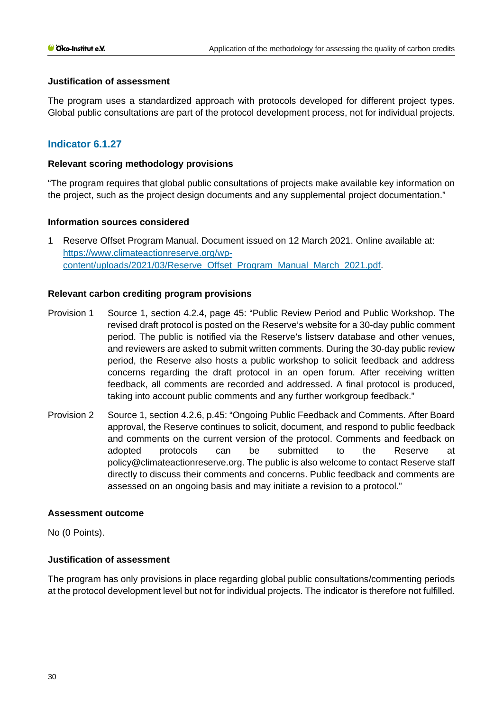# **Justification of assessment**

The program uses a standardized approach with protocols developed for different project types. Global public consultations are part of the protocol development process, not for individual projects.

# **Indicator 6.1.27**

# **Relevant scoring methodology provisions**

"The program requires that global public consultations of projects make available key information on the project, such as the project design documents and any supplemental project documentation."

# **Information sources considered**

1 Reserve Offset Program Manual. Document issued on 12 March 2021. Online available at: [https://www.climateactionreserve.org/wp](https://www.climateactionreserve.org/wp-content/uploads/2021/03/Reserve_Offset_Program_Manual_March_2021.pdf)[content/uploads/2021/03/Reserve\\_Offset\\_Program\\_Manual\\_March\\_2021.pdf.](https://www.climateactionreserve.org/wp-content/uploads/2021/03/Reserve_Offset_Program_Manual_March_2021.pdf)

# **Relevant carbon crediting program provisions**

- Provision 1 Source 1, section 4.2.4, page 45: "Public Review Period and Public Workshop. The revised draft protocol is posted on the Reserve's website for a 30-day public comment period. The public is notified via the Reserve's listserv database and other venues, and reviewers are asked to submit written comments. During the 30-day public review period, the Reserve also hosts a public workshop to solicit feedback and address concerns regarding the draft protocol in an open forum. After receiving written feedback, all comments are recorded and addressed. A final protocol is produced, taking into account public comments and any further workgroup feedback."
- Provision 2 Source 1, section 4.2.6, p.45: "Ongoing Public Feedback and Comments. After Board approval, the Reserve continues to solicit, document, and respond to public feedback and comments on the current version of the protocol. Comments and feedback on adopted protocols can be submitted to the Reserve at policy@climateactionreserve.org. The public is also welcome to contact Reserve staff directly to discuss their comments and concerns. Public feedback and comments are assessed on an ongoing basis and may initiate a revision to a protocol."

### **Assessment outcome**

No (0 Points).

# **Justification of assessment**

The program has only provisions in place regarding global public consultations/commenting periods at the protocol development level but not for individual projects. The indicator is therefore not fulfilled.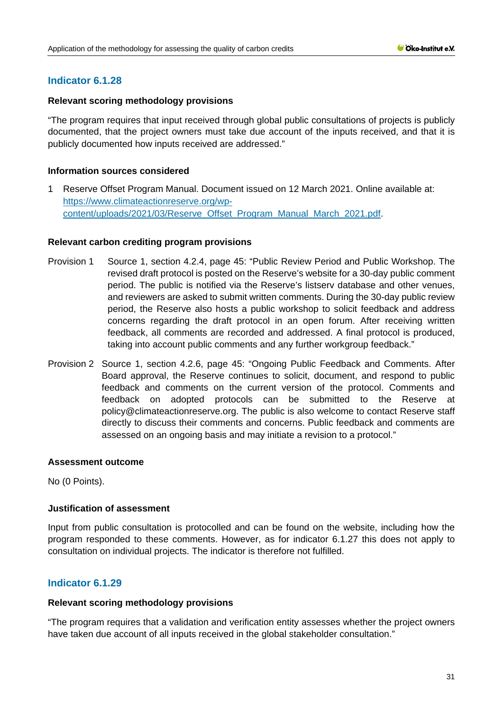# **Indicator 6.1.28**

# **Relevant scoring methodology provisions**

"The program requires that input received through global public consultations of projects is publicly documented, that the project owners must take due account of the inputs received, and that it is publicly documented how inputs received are addressed."

# **Information sources considered**

1 Reserve Offset Program Manual. Document issued on 12 March 2021. Online available at: [https://www.climateactionreserve.org/wp](https://www.climateactionreserve.org/wp-content/uploads/2021/03/Reserve_Offset_Program_Manual_March_2021.pdf)[content/uploads/2021/03/Reserve\\_Offset\\_Program\\_Manual\\_March\\_2021.pdf.](https://www.climateactionreserve.org/wp-content/uploads/2021/03/Reserve_Offset_Program_Manual_March_2021.pdf)

### **Relevant carbon crediting program provisions**

- Provision 1 Source 1, section 4.2.4, page 45: "Public Review Period and Public Workshop. The revised draft protocol is posted on the Reserve's website for a 30-day public comment period. The public is notified via the Reserve's listserv database and other venues, and reviewers are asked to submit written comments. During the 30-day public review period, the Reserve also hosts a public workshop to solicit feedback and address concerns regarding the draft protocol in an open forum. After receiving written feedback, all comments are recorded and addressed. A final protocol is produced, taking into account public comments and any further workgroup feedback."
- Provision 2 Source 1, section 4.2.6, page 45: "Ongoing Public Feedback and Comments. After Board approval, the Reserve continues to solicit, document, and respond to public feedback and comments on the current version of the protocol. Comments and feedback on adopted protocols can be submitted to the Reserve at policy@climateactionreserve.org. The public is also welcome to contact Reserve staff directly to discuss their comments and concerns. Public feedback and comments are assessed on an ongoing basis and may initiate a revision to a protocol."

### **Assessment outcome**

No (0 Points).

# **Justification of assessment**

Input from public consultation is protocolled and can be found on the website, including how the program responded to these comments. However, as for indicator 6.1.27 this does not apply to consultation on individual projects. The indicator is therefore not fulfilled.

# **Indicator 6.1.29**

### **Relevant scoring methodology provisions**

"The program requires that a validation and verification entity assesses whether the project owners have taken due account of all inputs received in the global stakeholder consultation."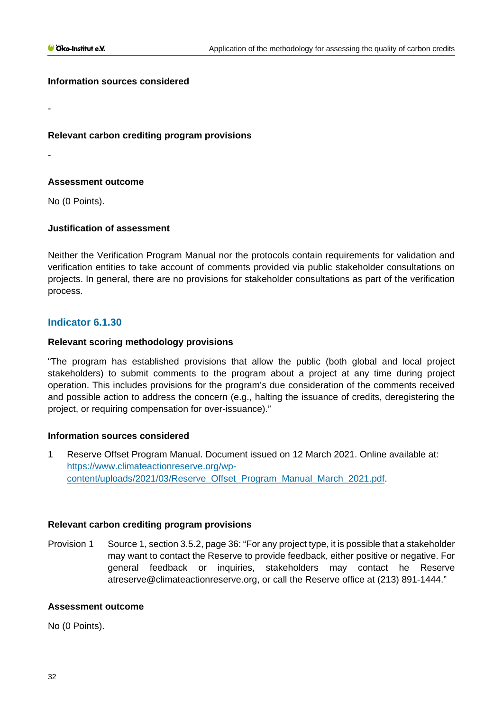-

-

### **Information sources considered**

**Relevant carbon crediting program provisions**

# **Assessment outcome**

No (0 Points).

# **Justification of assessment**

Neither the Verification Program Manual nor the protocols contain requirements for validation and verification entities to take account of comments provided via public stakeholder consultations on projects. In general, there are no provisions for stakeholder consultations as part of the verification process.

# **Indicator 6.1.30**

# **Relevant scoring methodology provisions**

"The program has established provisions that allow the public (both global and local project stakeholders) to submit comments to the program about a project at any time during project operation. This includes provisions for the program's due consideration of the comments received and possible action to address the concern (e.g., halting the issuance of credits, deregistering the project, or requiring compensation for over-issuance)."

# **Information sources considered**

1 Reserve Offset Program Manual. Document issued on 12 March 2021. Online available at: [https://www.climateactionreserve.org/wp](https://www.climateactionreserve.org/wp-content/uploads/2021/03/Reserve_Offset_Program_Manual_March_2021.pdf)[content/uploads/2021/03/Reserve\\_Offset\\_Program\\_Manual\\_March\\_2021.pdf.](https://www.climateactionreserve.org/wp-content/uploads/2021/03/Reserve_Offset_Program_Manual_March_2021.pdf)

### **Relevant carbon crediting program provisions**

Provision 1 Source 1, section 3.5.2, page 36: "For any project type, it is possible that a stakeholder may want to contact the Reserve to provide feedback, either positive or negative. For general feedback or inquiries, stakeholders may contact he Reserve atreserve@climateactionreserve.org, or call the Reserve office at (213) 891-1444."

### **Assessment outcome**

No (0 Points).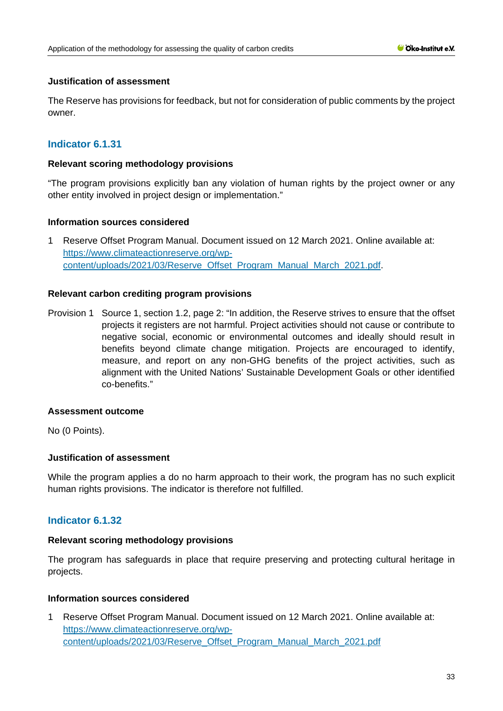# **Justification of assessment**

The Reserve has provisions for feedback, but not for consideration of public comments by the project owner.

# **Indicator 6.1.31**

# **Relevant scoring methodology provisions**

"The program provisions explicitly ban any violation of human rights by the project owner or any other entity involved in project design or implementation."

# **Information sources considered**

1 Reserve Offset Program Manual. Document issued on 12 March 2021. Online available at: [https://www.climateactionreserve.org/wp](https://www.climateactionreserve.org/wp-content/uploads/2021/03/Reserve_Offset_Program_Manual_March_2021.pdf)[content/uploads/2021/03/Reserve\\_Offset\\_Program\\_Manual\\_March\\_2021.pdf.](https://www.climateactionreserve.org/wp-content/uploads/2021/03/Reserve_Offset_Program_Manual_March_2021.pdf)

# **Relevant carbon crediting program provisions**

Provision 1 Source 1, section 1.2, page 2: "In addition, the Reserve strives to ensure that the offset projects it registers are not harmful. Project activities should not cause or contribute to negative social, economic or environmental outcomes and ideally should result in benefits beyond climate change mitigation. Projects are encouraged to identify, measure, and report on any non-GHG benefits of the project activities, such as alignment with the United Nations' Sustainable Development Goals or other identified co-benefits."

### **Assessment outcome**

No (0 Points).

### **Justification of assessment**

While the program applies a do no harm approach to their work, the program has no such explicit human rights provisions. The indicator is therefore not fulfilled.

# **Indicator 6.1.32**

### **Relevant scoring methodology provisions**

The program has safeguards in place that require preserving and protecting cultural heritage in projects.

### **Information sources considered**

1 Reserve Offset Program Manual. Document issued on 12 March 2021. Online available at: [https://www.climateactionreserve.org/wp](https://www.climateactionreserve.org/wp-content/uploads/2021/03/Reserve_Offset_Program_Manual_March_2021.pdf)[content/uploads/2021/03/Reserve\\_Offset\\_Program\\_Manual\\_March\\_2021.pdf](https://www.climateactionreserve.org/wp-content/uploads/2021/03/Reserve_Offset_Program_Manual_March_2021.pdf)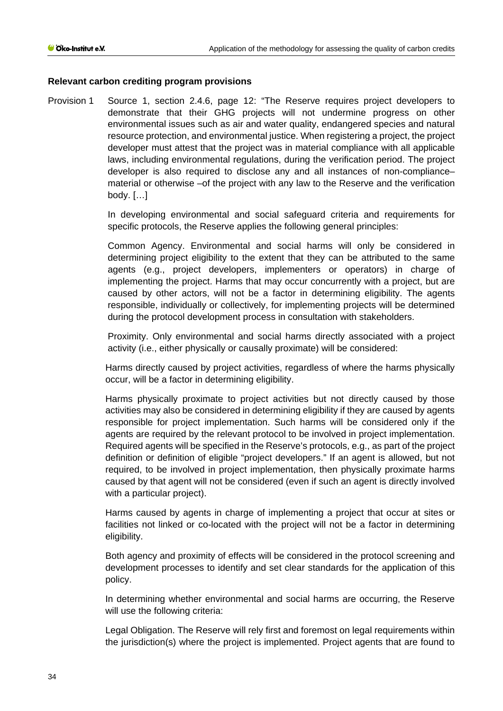### **Relevant carbon crediting program provisions**

Provision 1 Source 1, section 2.4.6, page 12: "The Reserve requires project developers to demonstrate that their GHG projects will not undermine progress on other environmental issues such as air and water quality, endangered species and natural resource protection, and environmental justice. When registering a project, the project developer must attest that the project was in material compliance with all applicable laws, including environmental regulations, during the verification period. The project developer is also required to disclose any and all instances of non-compliance– material or otherwise –of the project with any law to the Reserve and the verification body. […]

> In developing environmental and social safeguard criteria and requirements for specific protocols, the Reserve applies the following general principles:

> Common Agency. Environmental and social harms will only be considered in determining project eligibility to the extent that they can be attributed to the same agents (e.g., project developers, implementers or operators) in charge of implementing the project. Harms that may occur concurrently with a project, but are caused by other actors, will not be a factor in determining eligibility. The agents responsible, individually or collectively, for implementing projects will be determined during the protocol development process in consultation with stakeholders.

> Proximity. Only environmental and social harms directly associated with a project activity (i.e., either physically or causally proximate) will be considered:

> Harms directly caused by project activities, regardless of where the harms physically occur, will be a factor in determining eligibility.

> Harms physically proximate to project activities but not directly caused by those activities may also be considered in determining eligibility if they are caused by agents responsible for project implementation. Such harms will be considered only if the agents are required by the relevant protocol to be involved in project implementation. Required agents will be specified in the Reserve's protocols, e.g., as part of the project definition or definition of eligible "project developers." If an agent is allowed, but not required, to be involved in project implementation, then physically proximate harms caused by that agent will not be considered (even if such an agent is directly involved with a particular project).

> Harms caused by agents in charge of implementing a project that occur at sites or facilities not linked or co-located with the project will not be a factor in determining eligibility.

> Both agency and proximity of effects will be considered in the protocol screening and development processes to identify and set clear standards for the application of this policy.

> In determining whether environmental and social harms are occurring, the Reserve will use the following criteria:

> Legal Obligation. The Reserve will rely first and foremost on legal requirements within the jurisdiction(s) where the project is implemented. Project agents that are found to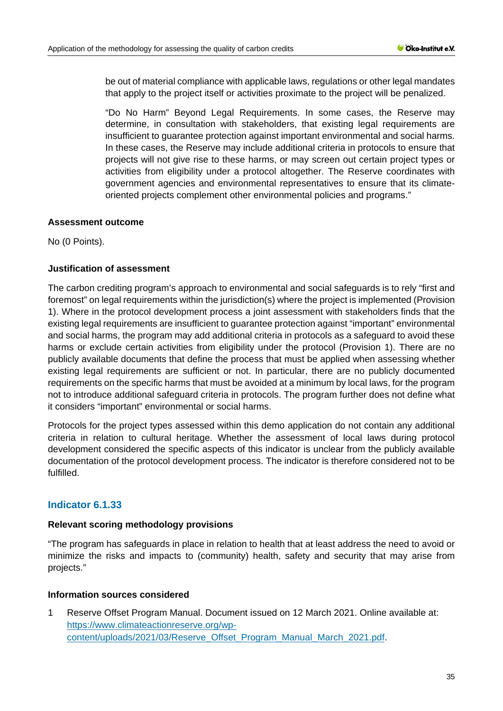be out of material compliance with applicable laws, regulations or other legal mandates that apply to the project itself or activities proximate to the project will be penalized.

"Do No Harm" Beyond Legal Requirements. In some cases, the Reserve may determine, in consultation with stakeholders, that existing legal requirements are insufficient to guarantee protection against important environmental and social harms. In these cases, the Reserve may include additional criteria in protocols to ensure that projects will not give rise to these harms, or may screen out certain project types or activities from eligibility under a protocol altogether. The Reserve coordinates with government agencies and environmental representatives to ensure that its climateoriented projects complement other environmental policies and programs."

### **Assessment outcome**

No (0 Points).

# **Justification of assessment**

The carbon crediting program's approach to environmental and social safeguards is to rely "first and foremost" on legal requirements within the jurisdiction(s) where the project is implemented (Provision 1). Where in the protocol development process a joint assessment with stakeholders finds that the existing legal requirements are insufficient to guarantee protection against "important" environmental and social harms, the program may add additional criteria in protocols as a safeguard to avoid these harms or exclude certain activities from eligibility under the protocol (Provision 1). There are no publicly available documents that define the process that must be applied when assessing whether existing legal requirements are sufficient or not. In particular, there are no publicly documented requirements on the specific harms that must be avoided at a minimum by local laws, for the program not to introduce additional safeguard criteria in protocols. The program further does not define what it considers "important" environmental or social harms.

Protocols for the project types assessed within this demo application do not contain any additional criteria in relation to cultural heritage. Whether the assessment of local laws during protocol development considered the specific aspects of this indicator is unclear from the publicly available documentation of the protocol development process. The indicator is therefore considered not to be fulfilled.

# **Indicator 6.1.33**

### **Relevant scoring methodology provisions**

"The program has safeguards in place in relation to health that at least address the need to avoid or minimize the risks and impacts to (community) health, safety and security that may arise from projects."

### **Information sources considered**

1 Reserve Offset Program Manual. Document issued on 12 March 2021. Online available at: [https://www.climateactionreserve.org/wp](https://www.climateactionreserve.org/wp-content/uploads/2021/03/Reserve_Offset_Program_Manual_March_2021.pdf)[content/uploads/2021/03/Reserve\\_Offset\\_Program\\_Manual\\_March\\_2021.pdf.](https://www.climateactionreserve.org/wp-content/uploads/2021/03/Reserve_Offset_Program_Manual_March_2021.pdf)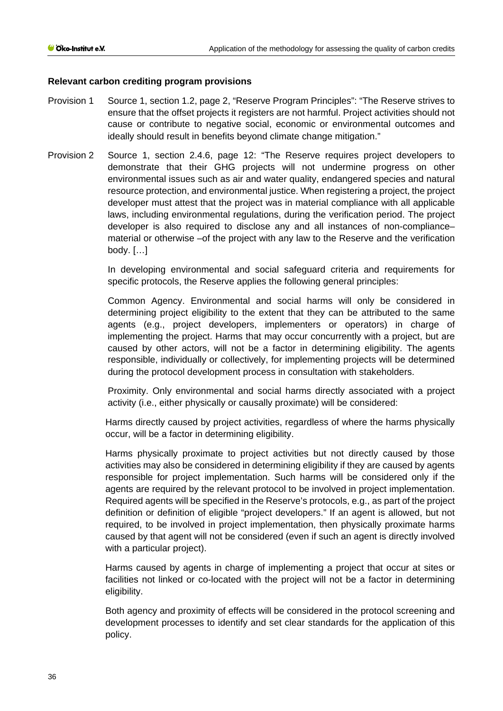# **Relevant carbon crediting program provisions**

- Provision 1 Source 1, section 1.2, page 2, "Reserve Program Principles": "The Reserve strives to ensure that the offset projects it registers are not harmful. Project activities should not cause or contribute to negative social, economic or environmental outcomes and ideally should result in benefits beyond climate change mitigation."
- Provision 2 Source 1, section 2.4.6, page 12: "The Reserve requires project developers to demonstrate that their GHG projects will not undermine progress on other environmental issues such as air and water quality, endangered species and natural resource protection, and environmental justice. When registering a project, the project developer must attest that the project was in material compliance with all applicable laws, including environmental regulations, during the verification period. The project developer is also required to disclose any and all instances of non-compliance– material or otherwise –of the project with any law to the Reserve and the verification body. […]

In developing environmental and social safeguard criteria and requirements for specific protocols, the Reserve applies the following general principles:

Common Agency. Environmental and social harms will only be considered in determining project eligibility to the extent that they can be attributed to the same agents (e.g., project developers, implementers or operators) in charge of implementing the project. Harms that may occur concurrently with a project, but are caused by other actors, will not be a factor in determining eligibility. The agents responsible, individually or collectively, for implementing projects will be determined during the protocol development process in consultation with stakeholders.

Proximity. Only environmental and social harms directly associated with a project activity (i.e., either physically or causally proximate) will be considered:

Harms directly caused by project activities, regardless of where the harms physically occur, will be a factor in determining eligibility.

Harms physically proximate to project activities but not directly caused by those activities may also be considered in determining eligibility if they are caused by agents responsible for project implementation. Such harms will be considered only if the agents are required by the relevant protocol to be involved in project implementation. Required agents will be specified in the Reserve's protocols, e.g., as part of the project definition or definition of eligible "project developers." If an agent is allowed, but not required, to be involved in project implementation, then physically proximate harms caused by that agent will not be considered (even if such an agent is directly involved with a particular project).

Harms caused by agents in charge of implementing a project that occur at sites or facilities not linked or co-located with the project will not be a factor in determining eligibility.

Both agency and proximity of effects will be considered in the protocol screening and development processes to identify and set clear standards for the application of this policy.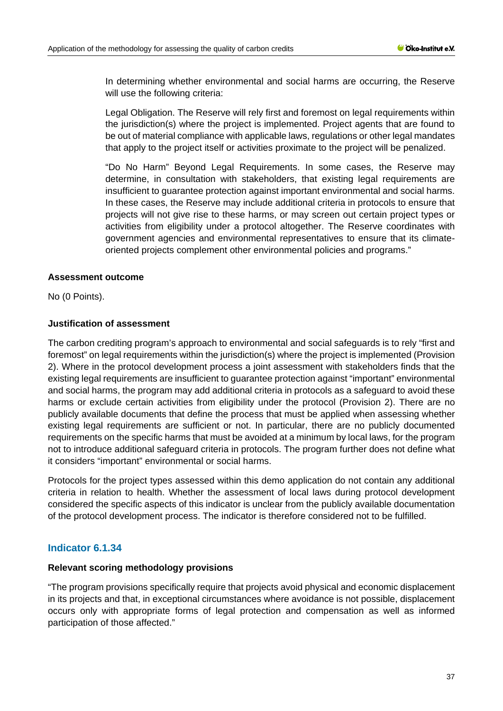In determining whether environmental and social harms are occurring, the Reserve will use the following criteria:

Legal Obligation. The Reserve will rely first and foremost on legal requirements within the jurisdiction(s) where the project is implemented. Project agents that are found to be out of material compliance with applicable laws, regulations or other legal mandates that apply to the project itself or activities proximate to the project will be penalized.

"Do No Harm" Beyond Legal Requirements. In some cases, the Reserve may determine, in consultation with stakeholders, that existing legal requirements are insufficient to guarantee protection against important environmental and social harms. In these cases, the Reserve may include additional criteria in protocols to ensure that projects will not give rise to these harms, or may screen out certain project types or activities from eligibility under a protocol altogether. The Reserve coordinates with government agencies and environmental representatives to ensure that its climateoriented projects complement other environmental policies and programs."

# **Assessment outcome**

No (0 Points).

# **Justification of assessment**

The carbon crediting program's approach to environmental and social safeguards is to rely "first and foremost" on legal requirements within the jurisdiction(s) where the project is implemented (Provision 2). Where in the protocol development process a joint assessment with stakeholders finds that the existing legal requirements are insufficient to guarantee protection against "important" environmental and social harms, the program may add additional criteria in protocols as a safeguard to avoid these harms or exclude certain activities from eligibility under the protocol (Provision 2). There are no publicly available documents that define the process that must be applied when assessing whether existing legal requirements are sufficient or not. In particular, there are no publicly documented requirements on the specific harms that must be avoided at a minimum by local laws, for the program not to introduce additional safeguard criteria in protocols. The program further does not define what it considers "important" environmental or social harms.

Protocols for the project types assessed within this demo application do not contain any additional criteria in relation to health. Whether the assessment of local laws during protocol development considered the specific aspects of this indicator is unclear from the publicly available documentation of the protocol development process. The indicator is therefore considered not to be fulfilled.

# **Indicator 6.1.34**

# **Relevant scoring methodology provisions**

"The program provisions specifically require that projects avoid physical and economic displacement in its projects and that, in exceptional circumstances where avoidance is not possible, displacement occurs only with appropriate forms of legal protection and compensation as well as informed participation of those affected."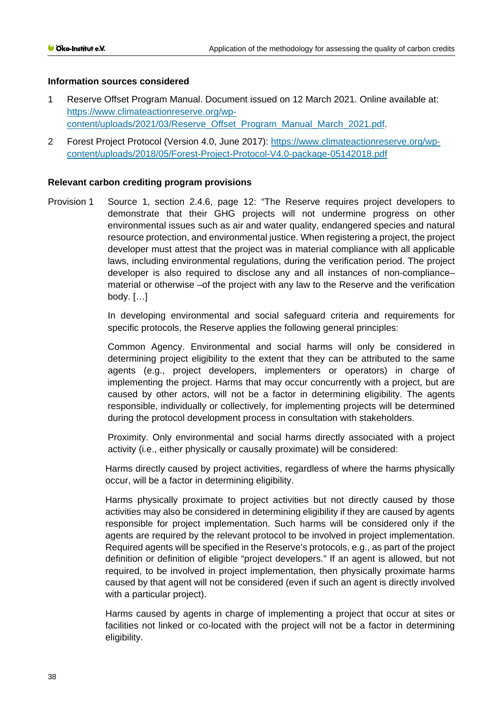# **Information sources considered**

- 1 Reserve Offset Program Manual. Document issued on 12 March 2021. Online available at: [https://www.climateactionreserve.org/wp](https://www.climateactionreserve.org/wp-content/uploads/2021/03/Reserve_Offset_Program_Manual_March_2021.pdf)[content/uploads/2021/03/Reserve\\_Offset\\_Program\\_Manual\\_March\\_2021.pdf.](https://www.climateactionreserve.org/wp-content/uploads/2021/03/Reserve_Offset_Program_Manual_March_2021.pdf)
- 2 Forest Project Protocol (Version 4.0, June 2017): [https://www.climateactionreserve.org/wp](https://www.climateactionreserve.org/wp-content/uploads/2018/05/Forest-Project-Protocol-V4.0-package-05142018.pdf)[content/uploads/2018/05/Forest-Project-Protocol-V4.0-package-05142018.pdf](https://www.climateactionreserve.org/wp-content/uploads/2018/05/Forest-Project-Protocol-V4.0-package-05142018.pdf)

# **Relevant carbon crediting program provisions**

Provision 1 Source 1, section 2.4.6, page 12: "The Reserve requires project developers to demonstrate that their GHG projects will not undermine progress on other environmental issues such as air and water quality, endangered species and natural resource protection, and environmental justice. When registering a project, the project developer must attest that the project was in material compliance with all applicable laws, including environmental regulations, during the verification period. The project developer is also required to disclose any and all instances of non-compliance– material or otherwise –of the project with any law to the Reserve and the verification body. […]

> In developing environmental and social safeguard criteria and requirements for specific protocols, the Reserve applies the following general principles:

> Common Agency. Environmental and social harms will only be considered in determining project eligibility to the extent that they can be attributed to the same agents (e.g., project developers, implementers or operators) in charge of implementing the project. Harms that may occur concurrently with a project, but are caused by other actors, will not be a factor in determining eligibility. The agents responsible, individually or collectively, for implementing projects will be determined during the protocol development process in consultation with stakeholders.

> Proximity. Only environmental and social harms directly associated with a project activity (i.e., either physically or causally proximate) will be considered:

> Harms directly caused by project activities, regardless of where the harms physically occur, will be a factor in determining eligibility.

> Harms physically proximate to project activities but not directly caused by those activities may also be considered in determining eligibility if they are caused by agents responsible for project implementation. Such harms will be considered only if the agents are required by the relevant protocol to be involved in project implementation. Required agents will be specified in the Reserve's protocols, e.g., as part of the project definition or definition of eligible "project developers." If an agent is allowed, but not required, to be involved in project implementation, then physically proximate harms caused by that agent will not be considered (even if such an agent is directly involved with a particular project).

> Harms caused by agents in charge of implementing a project that occur at sites or facilities not linked or co-located with the project will not be a factor in determining eligibility.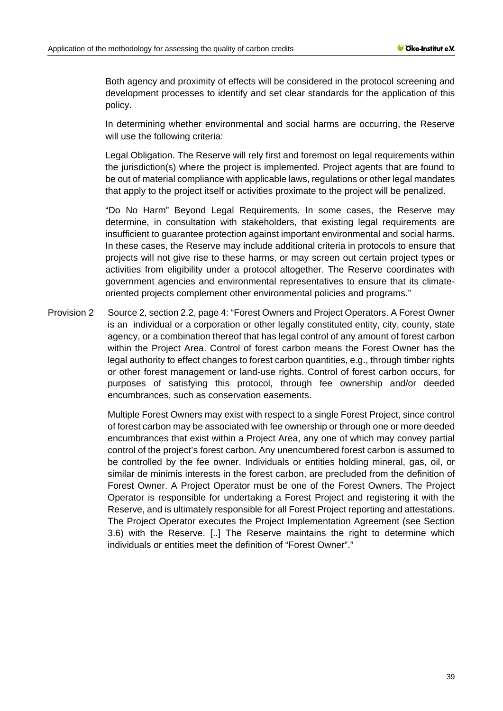Both agency and proximity of effects will be considered in the protocol screening and development processes to identify and set clear standards for the application of this policy.

In determining whether environmental and social harms are occurring, the Reserve will use the following criteria:

Legal Obligation. The Reserve will rely first and foremost on legal requirements within the jurisdiction(s) where the project is implemented. Project agents that are found to be out of material compliance with applicable laws, regulations or other legal mandates that apply to the project itself or activities proximate to the project will be penalized.

"Do No Harm" Beyond Legal Requirements. In some cases, the Reserve may determine, in consultation with stakeholders, that existing legal requirements are insufficient to guarantee protection against important environmental and social harms. In these cases, the Reserve may include additional criteria in protocols to ensure that projects will not give rise to these harms, or may screen out certain project types or activities from eligibility under a protocol altogether. The Reserve coordinates with government agencies and environmental representatives to ensure that its climateoriented projects complement other environmental policies and programs."

Provision 2 Source 2, section 2.2, page 4: "Forest Owners and Project Operators. A Forest Owner is an individual or a corporation or other legally constituted entity, city, county, state agency, or a combination thereof that has legal control of any amount of forest carbon within the Project Area. Control of forest carbon means the Forest Owner has the legal authority to effect changes to forest carbon quantities, e.g., through timber rights or other forest management or land-use rights. Control of forest carbon occurs, for purposes of satisfying this protocol, through fee ownership and/or deeded encumbrances, such as conservation easements.

> Multiple Forest Owners may exist with respect to a single Forest Project, since control of forest carbon may be associated with fee ownership or through one or more deeded encumbrances that exist within a Project Area, any one of which may convey partial control of the project's forest carbon. Any unencumbered forest carbon is assumed to be controlled by the fee owner. Individuals or entities holding mineral, gas, oil, or similar de minimis interests in the forest carbon, are precluded from the definition of Forest Owner. A Project Operator must be one of the Forest Owners. The Project Operator is responsible for undertaking a Forest Project and registering it with the Reserve, and is ultimately responsible for all Forest Project reporting and attestations. The Project Operator executes the Project Implementation Agreement (see Section 3.6) with the Reserve. [..] The Reserve maintains the right to determine which individuals or entities meet the definition of "Forest Owner"."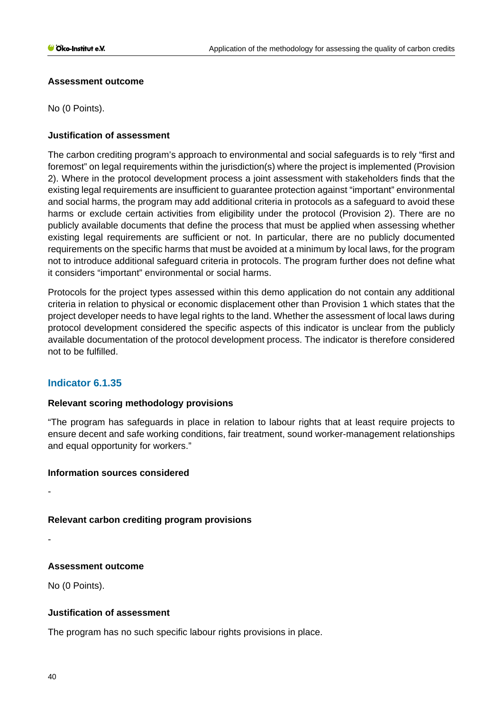# **Assessment outcome**

No (0 Points).

# **Justification of assessment**

The carbon crediting program's approach to environmental and social safeguards is to rely "first and foremost" on legal requirements within the jurisdiction(s) where the project is implemented (Provision 2). Where in the protocol development process a joint assessment with stakeholders finds that the existing legal requirements are insufficient to guarantee protection against "important" environmental and social harms, the program may add additional criteria in protocols as a safeguard to avoid these harms or exclude certain activities from eligibility under the protocol (Provision 2). There are no publicly available documents that define the process that must be applied when assessing whether existing legal requirements are sufficient or not. In particular, there are no publicly documented requirements on the specific harms that must be avoided at a minimum by local laws, for the program not to introduce additional safeguard criteria in protocols. The program further does not define what it considers "important" environmental or social harms.

Protocols for the project types assessed within this demo application do not contain any additional criteria in relation to physical or economic displacement other than Provision 1 which states that the project developer needs to have legal rights to the land. Whether the assessment of local laws during protocol development considered the specific aspects of this indicator is unclear from the publicly available documentation of the protocol development process. The indicator is therefore considered not to be fulfilled.

# **Indicator 6.1.35**

# **Relevant scoring methodology provisions**

"The program has safeguards in place in relation to labour rights that at least require projects to ensure decent and safe working conditions, fair treatment, sound worker-management relationships and equal opportunity for workers."

### **Information sources considered**

**Relevant carbon crediting program provisions**

# **Assessment outcome**

No (0 Points).

# **Justification of assessment**

The program has no such specific labour rights provisions in place.

-

-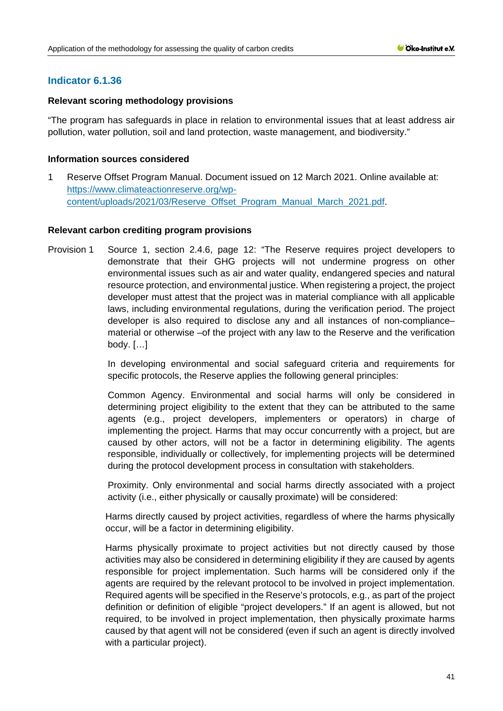# **Indicator 6.1.36**

# **Relevant scoring methodology provisions**

"The program has safeguards in place in relation to environmental issues that at least address air pollution, water pollution, soil and land protection, waste management, and biodiversity."

# **Information sources considered**

1 Reserve Offset Program Manual. Document issued on 12 March 2021. Online available at: [https://www.climateactionreserve.org/wp](https://www.climateactionreserve.org/wp-content/uploads/2021/03/Reserve_Offset_Program_Manual_March_2021.pdf)[content/uploads/2021/03/Reserve\\_Offset\\_Program\\_Manual\\_March\\_2021.pdf.](https://www.climateactionreserve.org/wp-content/uploads/2021/03/Reserve_Offset_Program_Manual_March_2021.pdf)

# **Relevant carbon crediting program provisions**

Provision 1 Source 1, section 2.4.6, page 12: "The Reserve requires project developers to demonstrate that their GHG projects will not undermine progress on other environmental issues such as air and water quality, endangered species and natural resource protection, and environmental justice. When registering a project, the project developer must attest that the project was in material compliance with all applicable laws, including environmental regulations, during the verification period. The project developer is also required to disclose any and all instances of non-compliance– material or otherwise –of the project with any law to the Reserve and the verification body. […]

> In developing environmental and social safeguard criteria and requirements for specific protocols, the Reserve applies the following general principles:

> Common Agency. Environmental and social harms will only be considered in determining project eligibility to the extent that they can be attributed to the same agents (e.g., project developers, implementers or operators) in charge of implementing the project. Harms that may occur concurrently with a project, but are caused by other actors, will not be a factor in determining eligibility. The agents responsible, individually or collectively, for implementing projects will be determined during the protocol development process in consultation with stakeholders.

> Proximity. Only environmental and social harms directly associated with a project activity (i.e., either physically or causally proximate) will be considered:

> Harms directly caused by project activities, regardless of where the harms physically occur, will be a factor in determining eligibility.

> Harms physically proximate to project activities but not directly caused by those activities may also be considered in determining eligibility if they are caused by agents responsible for project implementation. Such harms will be considered only if the agents are required by the relevant protocol to be involved in project implementation. Required agents will be specified in the Reserve's protocols, e.g., as part of the project definition or definition of eligible "project developers." If an agent is allowed, but not required, to be involved in project implementation, then physically proximate harms caused by that agent will not be considered (even if such an agent is directly involved with a particular project).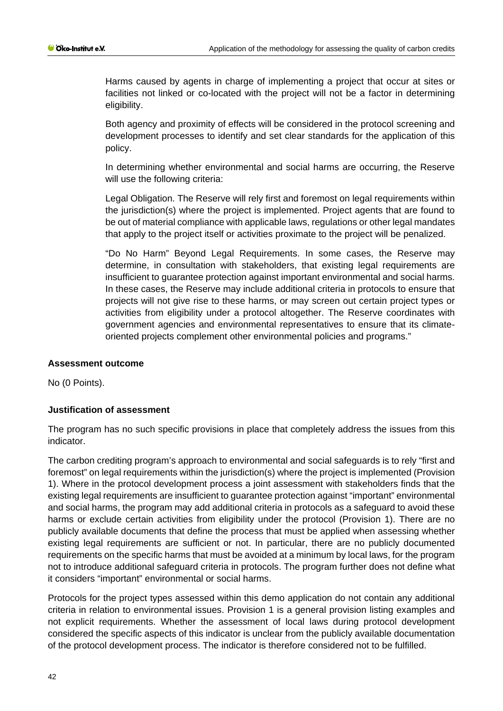Harms caused by agents in charge of implementing a project that occur at sites or facilities not linked or co-located with the project will not be a factor in determining eligibility.

Both agency and proximity of effects will be considered in the protocol screening and development processes to identify and set clear standards for the application of this policy.

In determining whether environmental and social harms are occurring, the Reserve will use the following criteria:

Legal Obligation. The Reserve will rely first and foremost on legal requirements within the jurisdiction(s) where the project is implemented. Project agents that are found to be out of material compliance with applicable laws, regulations or other legal mandates that apply to the project itself or activities proximate to the project will be penalized.

"Do No Harm" Beyond Legal Requirements. In some cases, the Reserve may determine, in consultation with stakeholders, that existing legal requirements are insufficient to guarantee protection against important environmental and social harms. In these cases, the Reserve may include additional criteria in protocols to ensure that projects will not give rise to these harms, or may screen out certain project types or activities from eligibility under a protocol altogether. The Reserve coordinates with government agencies and environmental representatives to ensure that its climateoriented projects complement other environmental policies and programs."

# **Assessment outcome**

No (0 Points).

# **Justification of assessment**

The program has no such specific provisions in place that completely address the issues from this indicator.

The carbon crediting program's approach to environmental and social safeguards is to rely "first and foremost" on legal requirements within the jurisdiction(s) where the project is implemented (Provision 1). Where in the protocol development process a joint assessment with stakeholders finds that the existing legal requirements are insufficient to guarantee protection against "important" environmental and social harms, the program may add additional criteria in protocols as a safeguard to avoid these harms or exclude certain activities from eligibility under the protocol (Provision 1). There are no publicly available documents that define the process that must be applied when assessing whether existing legal requirements are sufficient or not. In particular, there are no publicly documented requirements on the specific harms that must be avoided at a minimum by local laws, for the program not to introduce additional safeguard criteria in protocols. The program further does not define what it considers "important" environmental or social harms.

Protocols for the project types assessed within this demo application do not contain any additional criteria in relation to environmental issues. Provision 1 is a general provision listing examples and not explicit requirements. Whether the assessment of local laws during protocol development considered the specific aspects of this indicator is unclear from the publicly available documentation of the protocol development process. The indicator is therefore considered not to be fulfilled.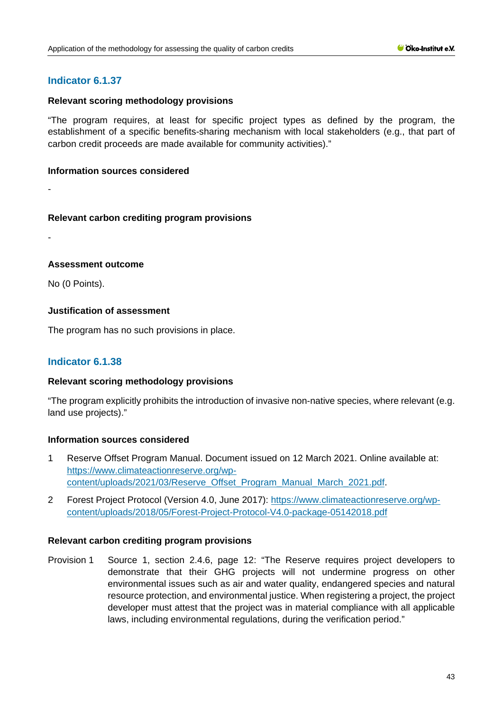# **Indicator 6.1.37**

# **Relevant scoring methodology provisions**

"The program requires, at least for specific project types as defined by the program, the establishment of a specific benefits-sharing mechanism with local stakeholders (e.g., that part of carbon credit proceeds are made available for community activities)."

### **Information sources considered**

-

# **Relevant carbon crediting program provisions**

-

# **Assessment outcome**

No (0 Points).

# **Justification of assessment**

The program has no such provisions in place.

# **Indicator 6.1.38**

# **Relevant scoring methodology provisions**

"The program explicitly prohibits the introduction of invasive non-native species, where relevant (e.g. land use projects)."

# **Information sources considered**

- 1 Reserve Offset Program Manual. Document issued on 12 March 2021. Online available at: [https://www.climateactionreserve.org/wp](https://www.climateactionreserve.org/wp-content/uploads/2021/03/Reserve_Offset_Program_Manual_March_2021.pdf)[content/uploads/2021/03/Reserve\\_Offset\\_Program\\_Manual\\_March\\_2021.pdf.](https://www.climateactionreserve.org/wp-content/uploads/2021/03/Reserve_Offset_Program_Manual_March_2021.pdf)
- 2 Forest Project Protocol (Version 4.0, June 2017): [https://www.climateactionreserve.org/wp](https://www.climateactionreserve.org/wp-content/uploads/2018/05/Forest-Project-Protocol-V4.0-package-05142018.pdf)[content/uploads/2018/05/Forest-Project-Protocol-V4.0-package-05142018.pdf](https://www.climateactionreserve.org/wp-content/uploads/2018/05/Forest-Project-Protocol-V4.0-package-05142018.pdf)

# **Relevant carbon crediting program provisions**

Provision 1 Source 1, section 2.4.6, page 12: "The Reserve requires project developers to demonstrate that their GHG projects will not undermine progress on other environmental issues such as air and water quality, endangered species and natural resource protection, and environmental justice. When registering a project, the project developer must attest that the project was in material compliance with all applicable laws, including environmental regulations, during the verification period."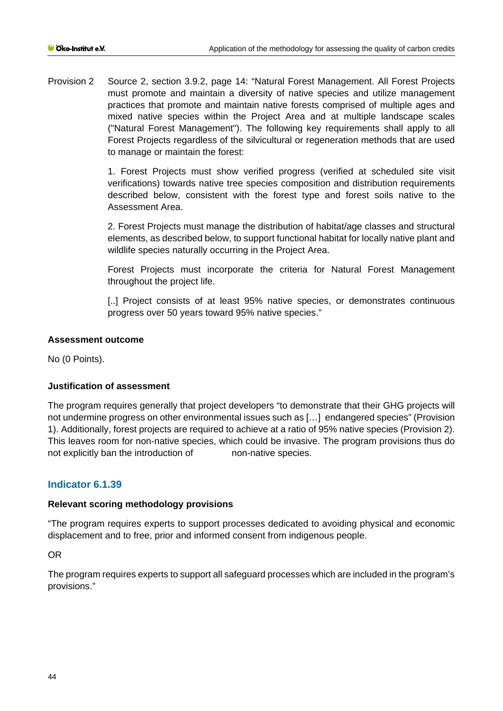Provision 2 Source 2, section 3.9.2, page 14: "Natural Forest Management. All Forest Projects must promote and maintain a diversity of native species and utilize management practices that promote and maintain native forests comprised of multiple ages and mixed native species within the Project Area and at multiple landscape scales ("Natural Forest Management"). The following key requirements shall apply to all Forest Projects regardless of the silvicultural or regeneration methods that are used to manage or maintain the forest:

> 1. Forest Projects must show verified progress (verified at scheduled site visit verifications) towards native tree species composition and distribution requirements described below, consistent with the forest type and forest soils native to the Assessment Area.

> 2. Forest Projects must manage the distribution of habitat/age classes and structural elements, as described below, to support functional habitat for locally native plant and wildlife species naturally occurring in the Project Area.

> Forest Projects must incorporate the criteria for Natural Forest Management throughout the project life.

> [..] Project consists of at least 95% native species, or demonstrates continuous progress over 50 years toward 95% native species."

# **Assessment outcome**

No (0 Points).

# **Justification of assessment**

The program requires generally that project developers "to demonstrate that their GHG projects will not undermine progress on other environmental issues such as […] endangered species" (Provision 1). Additionally, forest projects are required to achieve at a ratio of 95% native species (Provision 2). This leaves room for non-native species, which could be invasive. The program provisions thus do not explicitly ban the introduction of non-native species.

# **Indicator 6.1.39**

# **Relevant scoring methodology provisions**

"The program requires experts to support processes dedicated to avoiding physical and economic displacement and to free, prior and informed consent from indigenous people.

OR

The program requires experts to support all safeguard processes which are included in the program's provisions."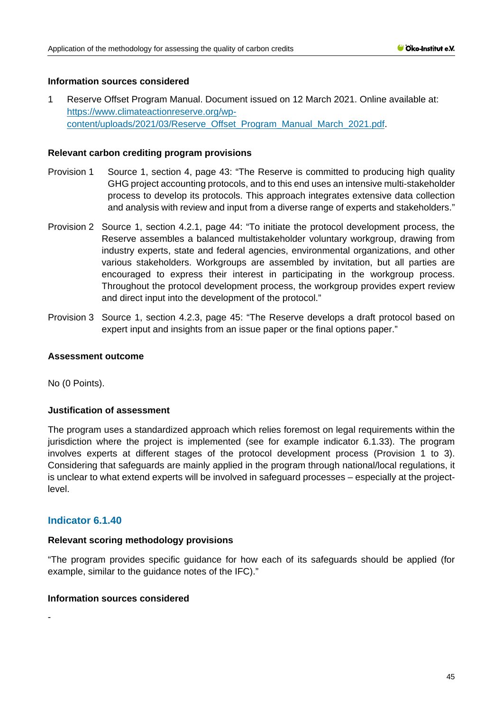# **Information sources considered**

1 Reserve Offset Program Manual. Document issued on 12 March 2021. Online available at: [https://www.climateactionreserve.org/wp](https://www.climateactionreserve.org/wp-content/uploads/2021/03/Reserve_Offset_Program_Manual_March_2021.pdf)[content/uploads/2021/03/Reserve\\_Offset\\_Program\\_Manual\\_March\\_2021.pdf.](https://www.climateactionreserve.org/wp-content/uploads/2021/03/Reserve_Offset_Program_Manual_March_2021.pdf)

# **Relevant carbon crediting program provisions**

- Provision 1 Source 1, section 4, page 43: "The Reserve is committed to producing high quality GHG project accounting protocols, and to this end uses an intensive multi-stakeholder process to develop its protocols. This approach integrates extensive data collection and analysis with review and input from a diverse range of experts and stakeholders."
- Provision 2 Source 1, section 4.2.1, page 44: "To initiate the protocol development process, the Reserve assembles a balanced multistakeholder voluntary workgroup, drawing from industry experts, state and federal agencies, environmental organizations, and other various stakeholders. Workgroups are assembled by invitation, but all parties are encouraged to express their interest in participating in the workgroup process. Throughout the protocol development process, the workgroup provides expert review and direct input into the development of the protocol."
- Provision 3 Source 1, section 4.2.3, page 45: "The Reserve develops a draft protocol based on expert input and insights from an issue paper or the final options paper."

### **Assessment outcome**

No (0 Points).

# **Justification of assessment**

The program uses a standardized approach which relies foremost on legal requirements within the jurisdiction where the project is implemented (see for example indicator 6.1.33). The program involves experts at different stages of the protocol development process (Provision 1 to 3). Considering that safeguards are mainly applied in the program through national/local regulations, it is unclear to what extend experts will be involved in safeguard processes – especially at the projectlevel.

# **Indicator 6.1.40**

### **Relevant scoring methodology provisions**

"The program provides specific guidance for how each of its safeguards should be applied (for example, similar to the guidance notes of the IFC)."

# **Information sources considered**

-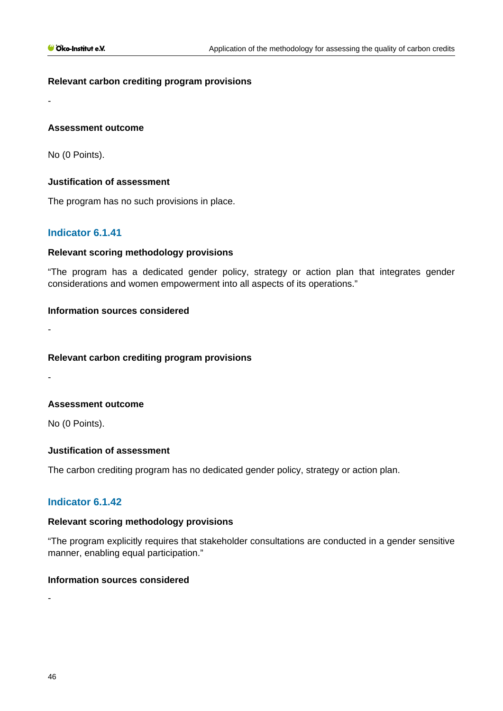# **Relevant carbon crediting program provisions**

**Assessment outcome**

No (0 Points).

-

-

-

# **Justification of assessment**

The program has no such provisions in place.

# **Indicator 6.1.41**

# **Relevant scoring methodology provisions**

"The program has a dedicated gender policy, strategy or action plan that integrates gender considerations and women empowerment into all aspects of its operations."

# **Information sources considered**

**Relevant carbon crediting program provisions**

**Assessment outcome**

No (0 Points).

### **Justification of assessment**

The carbon crediting program has no dedicated gender policy, strategy or action plan.

# **Indicator 6.1.42**

### **Relevant scoring methodology provisions**

"The program explicitly requires that stakeholder consultations are conducted in a gender sensitive manner, enabling equal participation."

# **Information sources considered**

46

-